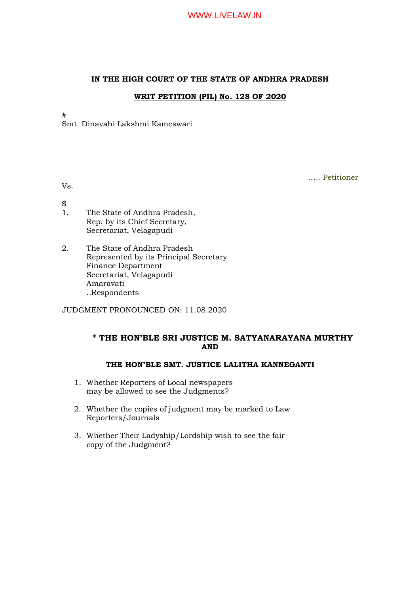#### IN THE HIGH COURT OF THE STATE OF ANDHRA PRADESH

### WRIT PETITION (PIL) No. 128 OF 2020

#

Smt. Dinavahi Lakshmi Kameswari

….. Petitioner

Vs.

- $\frac{1}{3}$
- The State of Andhra Pradesh, Rep. by its Chief Secretary, Secretariat, Velagapudi
- 2. The State of Andhra Pradesh Represented by its Principal Secretary Finance Department Secretariat, Velagapudi Amaravati ..Respondents

JUDGMENT PRONOUNCED ON: 11.08.2020

## \* THE HON'BLE SRI JUSTICE M. SATYANARAYANA MURTHY AND

## THE HON'BLE SMT. JUSTICE LALITHA KANNEGANTI

- 1. Whether Reporters of Local newspapers may be allowed to see the Judgments?
- 2. Whether the copies of judgment may be marked to Law Reporters/Journals
- 3. Whether Their Ladyship/Lordship wish to see the fair copy of the Judgment?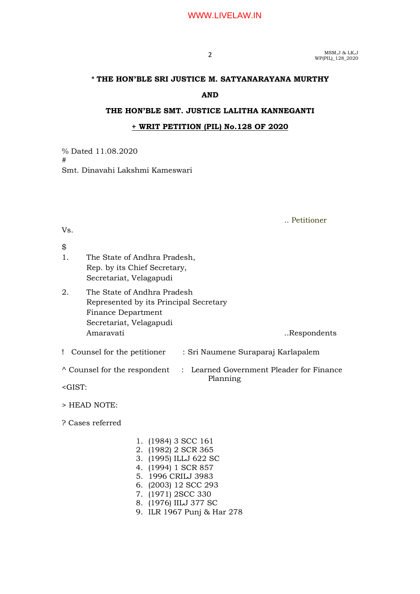## WWW.LIVELAW.IN

**2** MSM,J & LK,J<br>WP(PIL)\_128\_2020

## \* THE HON'BLE SRI JUSTICE M. SATYANARAYANA MURTHY

#### AND

#### THE HON'BLE SMT. JUSTICE LALITHA KANNEGANTI

#### + WRIT PETITION (PIL) No.128 OF 2020

% Dated 11.08.2020 # Smt. Dinavahi Lakshmi Kameswari

#### Vs.

\$ 1. The State of Andhra Pradesh, Rep. by its Chief Secretary, Secretariat, Velagapudi

2. The State of Andhra Pradesh Represented by its Principal Secretary Finance Department Secretariat, Velagapudi Amaravati ..Respondents

! Counsel for the petitioner : Sri Naumene Suraparaj Karlapalem

 $\land$  Counsel for the respondent : Learned Government Pleader for Finance

Planning

<GIST:

> HEAD NOTE:

? Cases referred

- 1. (1984) 3 SCC 161 2. (1982) 2 SCR 365
- 3. (1995) ILLJ 622 SC
- 4. (1994) 1 SCR 857
- 5. 1996 CRILJ 3983
- 6. (2003) 12 SCC 293
- 7. (1971) 2SCC 330
- 8. (1976) IILJ 377 SC
- 9. ILR 1967 Punj & Har 278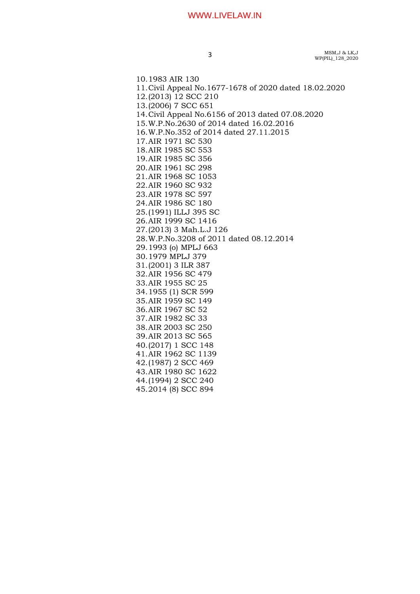### WWW.LIVELAW.IN

MSM,J & LK,J 3  $MSM, J & LK, J$ <br>WP(PIL)\_128\_2020

10.1983 AIR 130 11.Civil Appeal No.1677-1678 of 2020 dated 18.02.2020 12.(2013) 12 SCC 210 13.(2006) 7 SCC 651 14.Civil Appeal No.6156 of 2013 dated 07.08.2020 15.W.P.No.2630 of 2014 dated 16.02.2016 16.W.P.No.352 of 2014 dated 27.11.2015 17.AIR 1971 SC 530 18.AIR 1985 SC 553 19.AIR 1985 SC 356 20.AIR 1961 SC 298 21.AIR 1968 SC 1053 22.AIR 1960 SC 932 23.AIR 1978 SC 597 24.AIR 1986 SC 180 25.(1991) ILLJ 395 SC 26.AIR 1999 SC 1416 27.(2013) 3 Mah.L.J 126 28.W.P.No.3208 of 2011 dated 08.12.2014 29.1993 (o) MPLJ 663 30.1979 MPLJ 379 31.(2001) 3 ILR 387 32.AIR 1956 SC 479 33.AIR 1955 SC 25 34.1955 (1) SCR 599 35.AIR 1959 SC 149 36.AIR 1967 SC 52 37.AIR 1982 SC 33 38.AIR 2003 SC 250 39.AIR 2013 SC 565 40.(2017) 1 SCC 148 41.AIR 1962 SC 1139 42.(1987) 2 SCC 469 43.AIR 1980 SC 1622 44.(1994) 2 SCC 240 45.2014 (8) SCC 894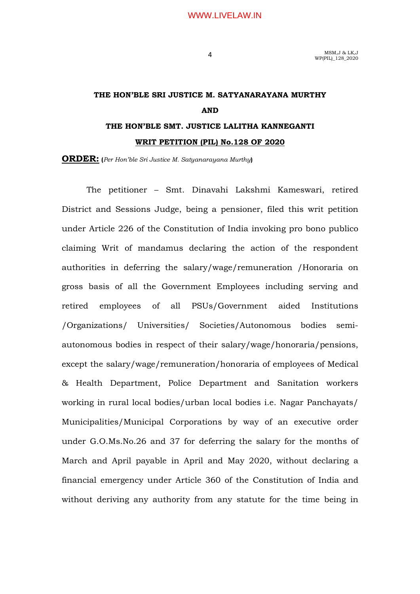MSM,J & LK,J 4 MSM, J & LK, J<br>WP(PIL) 128 2020

# THE HON'BLE SRI JUSTICE M. SATYANARAYANA MURTHY AND THE HON'BLE SMT. JUSTICE LALITHA KANNEGANTI

## WRIT PETITION (PIL) No.128 OF 2020

ORDER: (Per Hon'ble Sri Justice M. Satyanarayana Murthy)

The petitioner – Smt. Dinavahi Lakshmi Kameswari, retired District and Sessions Judge, being a pensioner, filed this writ petition under Article 226 of the Constitution of India invoking pro bono publico claiming Writ of mandamus declaring the action of the respondent authorities in deferring the salary/wage/remuneration /Honoraria on gross basis of all the Government Employees including serving and retired employees of all PSUs/Government aided Institutions /Organizations/ Universities/ Societies/Autonomous bodies semiautonomous bodies in respect of their salary/wage/honoraria/pensions, except the salary/wage/remuneration/honoraria of employees of Medical & Health Department, Police Department and Sanitation workers working in rural local bodies/urban local bodies i.e. Nagar Panchayats/ Municipalities/Municipal Corporations by way of an executive order under G.O.Ms.No.26 and 37 for deferring the salary for the months of March and April payable in April and May 2020, without declaring a financial emergency under Article 360 of the Constitution of India and without deriving any authority from any statute for the time being in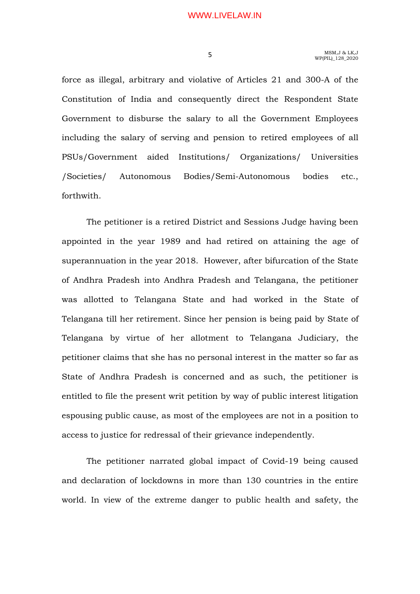force as illegal, arbitrary and violative of Articles 21 and 300-A of the Constitution of India and consequently direct the Respondent State Government to disburse the salary to all the Government Employees including the salary of serving and pension to retired employees of all PSUs/Government aided Institutions/ Organizations/ Universities /Societies/ Autonomous Bodies/Semi-Autonomous bodies etc., forthwith.

 The petitioner is a retired District and Sessions Judge having been appointed in the year 1989 and had retired on attaining the age of superannuation in the year 2018. However, after bifurcation of the State of Andhra Pradesh into Andhra Pradesh and Telangana, the petitioner was allotted to Telangana State and had worked in the State of Telangana till her retirement. Since her pension is being paid by State of Telangana by virtue of her allotment to Telangana Judiciary, the petitioner claims that she has no personal interest in the matter so far as State of Andhra Pradesh is concerned and as such, the petitioner is entitled to file the present writ petition by way of public interest litigation espousing public cause, as most of the employees are not in a position to access to justice for redressal of their grievance independently.

 The petitioner narrated global impact of Covid-19 being caused and declaration of lockdowns in more than 130 countries in the entire world. In view of the extreme danger to public health and safety, the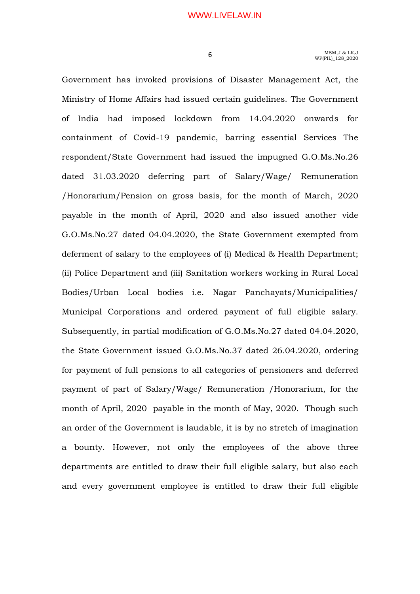Government has invoked provisions of Disaster Management Act, the Ministry of Home Affairs had issued certain guidelines. The Government of India had imposed lockdown from 14.04.2020 onwards for containment of Covid-19 pandemic, barring essential Services The respondent/State Government had issued the impugned G.O.Ms.No.26 dated 31.03.2020 deferring part of Salary/Wage/ Remuneration /Honorarium/Pension on gross basis, for the month of March, 2020 payable in the month of April, 2020 and also issued another vide G.O.Ms.No.27 dated 04.04.2020, the State Government exempted from deferment of salary to the employees of (i) Medical & Health Department; (ii) Police Department and (iii) Sanitation workers working in Rural Local Bodies/Urban Local bodies i.e. Nagar Panchayats/Municipalities/ Municipal Corporations and ordered payment of full eligible salary. Subsequently, in partial modification of G.O.Ms.No.27 dated 04.04.2020, the State Government issued G.O.Ms.No.37 dated 26.04.2020, ordering for payment of full pensions to all categories of pensioners and deferred payment of part of Salary/Wage/ Remuneration /Honorarium, for the month of April, 2020 payable in the month of May, 2020. Though such an order of the Government is laudable, it is by no stretch of imagination a bounty. However, not only the employees of the above three departments are entitled to draw their full eligible salary, but also each and every government employee is entitled to draw their full eligible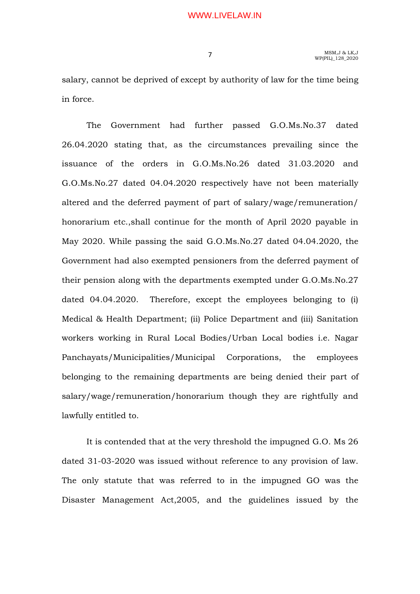salary, cannot be deprived of except by authority of law for the time being in force.

 The Government had further passed G.O.Ms.No.37 dated 26.04.2020 stating that, as the circumstances prevailing since the issuance of the orders in G.O.Ms.No.26 dated 31.03.2020 and G.O.Ms.No.27 dated 04.04.2020 respectively have not been materially altered and the deferred payment of part of salary/wage/remuneration/ honorarium etc.,shall continue for the month of April 2020 payable in May 2020. While passing the said G.O.Ms.No.27 dated 04.04.2020, the Government had also exempted pensioners from the deferred payment of their pension along with the departments exempted under G.O.Ms.No.27 dated 04.04.2020. Therefore, except the employees belonging to (i) Medical & Health Department; (ii) Police Department and (iii) Sanitation workers working in Rural Local Bodies/Urban Local bodies i.e. Nagar Panchayats/Municipalities/Municipal Corporations, the employees belonging to the remaining departments are being denied their part of salary/wage/remuneration/honorarium though they are rightfully and lawfully entitled to.

 It is contended that at the very threshold the impugned G.O. Ms 26 dated 31-03-2020 was issued without reference to any provision of law. The only statute that was referred to in the impugned GO was the Disaster Management Act,2005, and the guidelines issued by the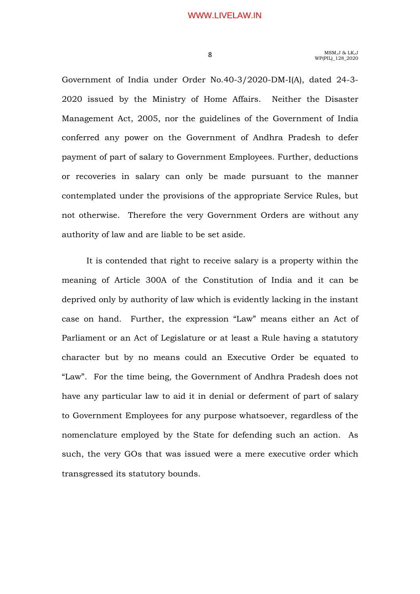Government of India under Order No.40-3/2020-DM-I(A), dated 24-3- 2020 issued by the Ministry of Home Affairs. Neither the Disaster Management Act, 2005, nor the guidelines of the Government of India conferred any power on the Government of Andhra Pradesh to defer payment of part of salary to Government Employees. Further, deductions or recoveries in salary can only be made pursuant to the manner contemplated under the provisions of the appropriate Service Rules, but not otherwise. Therefore the very Government Orders are without any authority of law and are liable to be set aside.

 It is contended that right to receive salary is a property within the meaning of Article 300A of the Constitution of India and it can be deprived only by authority of law which is evidently lacking in the instant case on hand. Further, the expression "Law" means either an Act of Parliament or an Act of Legislature or at least a Rule having a statutory character but by no means could an Executive Order be equated to "Law". For the time being, the Government of Andhra Pradesh does not have any particular law to aid it in denial or deferment of part of salary to Government Employees for any purpose whatsoever, regardless of the nomenclature employed by the State for defending such an action. As such, the very GOs that was issued were a mere executive order which transgressed its statutory bounds.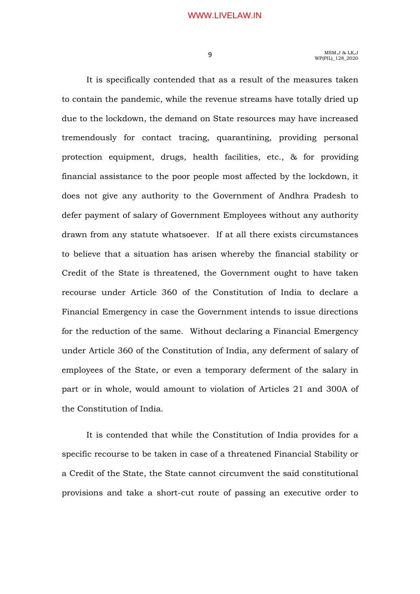It is specifically contended that as a result of the measures taken to contain the pandemic, while the revenue streams have totally dried up due to the lockdown, the demand on State resources may have increased tremendously for contact tracing, quarantining, providing personal protection equipment, drugs, health facilities, etc., & for providing financial assistance to the poor people most affected by the lockdown, it does not give any authority to the Government of Andhra Pradesh to defer payment of salary of Government Employees without any authority drawn from any statute whatsoever. If at all there exists circumstances to believe that a situation has arisen whereby the financial stability or Credit of the State is threatened, the Government ought to have taken recourse under Article 360 of the Constitution of India to declare a Financial Emergency in case the Government intends to issue directions for the reduction of the same. Without declaring a Financial Emergency under Article 360 of the Constitution of India, any deferment of salary of employees of the State, or even a temporary deferment of the salary in part or in whole, would amount to violation of Articles 21 and 300A of the Constitution of India.

 It is contended that while the Constitution of India provides for a specific recourse to be taken in case of a threatened Financial Stability or a Credit of the State, the State cannot circumvent the said constitutional provisions and take a short-cut route of passing an executive order to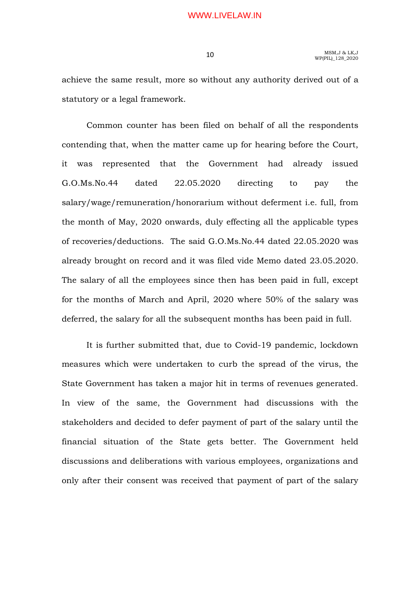achieve the same result, more so without any authority derived out of a statutory or a legal framework.

 Common counter has been filed on behalf of all the respondents contending that, when the matter came up for hearing before the Court, it was represented that the Government had already issued G.O.Ms.No.44 dated 22.05.2020 directing to pay the salary/wage/remuneration/honorarium without deferment i.e. full, from the month of May, 2020 onwards, duly effecting all the applicable types of recoveries/deductions. The said G.O.Ms.No.44 dated 22.05.2020 was already brought on record and it was filed vide Memo dated 23.05.2020. The salary of all the employees since then has been paid in full, except for the months of March and April, 2020 where 50% of the salary was deferred, the salary for all the subsequent months has been paid in full.

 It is further submitted that, due to Covid-19 pandemic, lockdown measures which were undertaken to curb the spread of the virus, the State Government has taken a major hit in terms of revenues generated. In view of the same, the Government had discussions with the stakeholders and decided to defer payment of part of the salary until the financial situation of the State gets better. The Government held discussions and deliberations with various employees, organizations and only after their consent was received that payment of part of the salary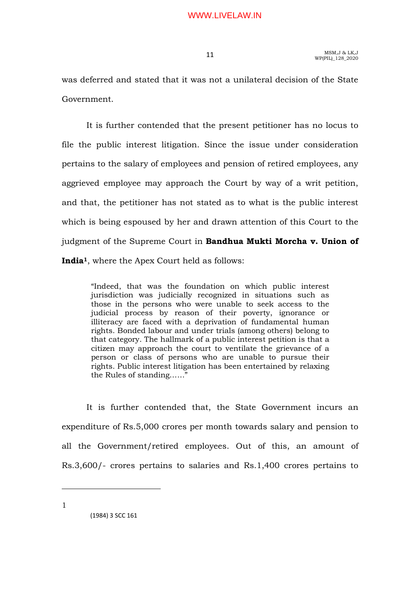was deferred and stated that it was not a unilateral decision of the State Government.

 It is further contended that the present petitioner has no locus to file the public interest litigation. Since the issue under consideration pertains to the salary of employees and pension of retired employees, any aggrieved employee may approach the Court by way of a writ petition, and that, the petitioner has not stated as to what is the public interest which is being espoused by her and drawn attention of this Court to the judgment of the Supreme Court in Bandhua Mukti Morcha v. Union of India1, where the Apex Court held as follows:

"Indeed, that was the foundation on which public interest jurisdiction was judicially recognized in situations such as those in the persons who were unable to seek access to the judicial process by reason of their poverty, ignorance or illiteracy are faced with a deprivation of fundamental human rights. Bonded labour and under trials (among others) belong to that category. The hallmark of a public interest petition is that a citizen may approach the court to ventilate the grievance of a person or class of persons who are unable to pursue their rights. Public interest litigation has been entertained by relaxing the Rules of standing……"

 It is further contended that, the State Government incurs an expenditure of Rs.5,000 crores per month towards salary and pension to all the Government/retired employees. Out of this, an amount of Rs.3,600/- crores pertains to salaries and Rs.1,400 crores pertains to

1

 <sup>(1984) 3</sup> SCC 161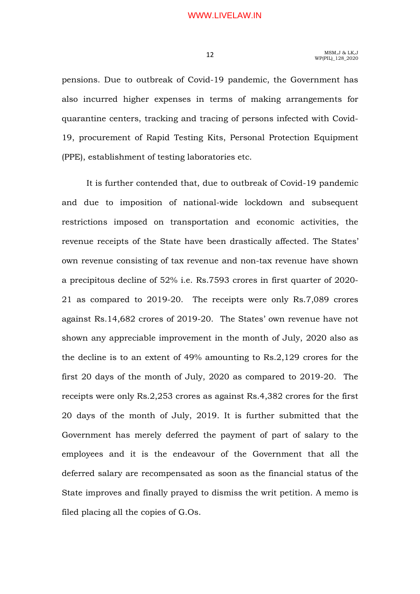pensions. Due to outbreak of Covid-19 pandemic, the Government has also incurred higher expenses in terms of making arrangements for quarantine centers, tracking and tracing of persons infected with Covid-19, procurement of Rapid Testing Kits, Personal Protection Equipment (PPE), establishment of testing laboratories etc.

 It is further contended that, due to outbreak of Covid-19 pandemic and due to imposition of national-wide lockdown and subsequent restrictions imposed on transportation and economic activities, the revenue receipts of the State have been drastically affected. The States' own revenue consisting of tax revenue and non-tax revenue have shown a precipitous decline of 52% i.e. Rs.7593 crores in first quarter of 2020- 21 as compared to 2019-20. The receipts were only Rs.7,089 crores against Rs.14,682 crores of 2019-20. The States' own revenue have not shown any appreciable improvement in the month of July, 2020 also as the decline is to an extent of 49% amounting to Rs.2,129 crores for the first 20 days of the month of July, 2020 as compared to 2019-20. The receipts were only Rs.2,253 crores as against Rs.4,382 crores for the first 20 days of the month of July, 2019. It is further submitted that the Government has merely deferred the payment of part of salary to the employees and it is the endeavour of the Government that all the deferred salary are recompensated as soon as the financial status of the State improves and finally prayed to dismiss the writ petition. A memo is filed placing all the copies of G.Os.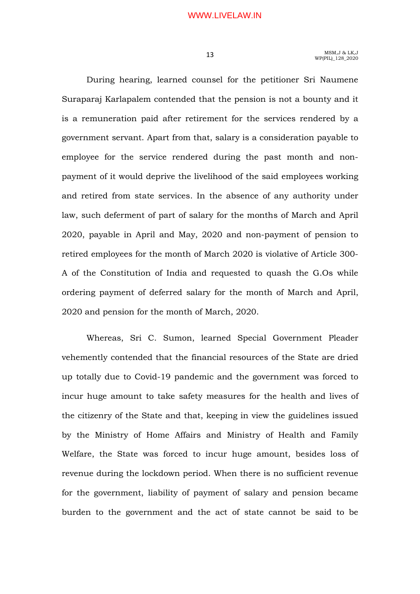During hearing, learned counsel for the petitioner Sri Naumene Suraparaj Karlapalem contended that the pension is not a bounty and it is a remuneration paid after retirement for the services rendered by a government servant. Apart from that, salary is a consideration payable to employee for the service rendered during the past month and nonpayment of it would deprive the livelihood of the said employees working and retired from state services. In the absence of any authority under law, such deferment of part of salary for the months of March and April 2020, payable in April and May, 2020 and non-payment of pension to retired employees for the month of March 2020 is violative of Article 300- A of the Constitution of India and requested to quash the G.Os while ordering payment of deferred salary for the month of March and April, 2020 and pension for the month of March, 2020.

 Whereas, Sri C. Sumon, learned Special Government Pleader vehemently contended that the financial resources of the State are dried up totally due to Covid-19 pandemic and the government was forced to incur huge amount to take safety measures for the health and lives of the citizenry of the State and that, keeping in view the guidelines issued by the Ministry of Home Affairs and Ministry of Health and Family Welfare, the State was forced to incur huge amount, besides loss of revenue during the lockdown period. When there is no sufficient revenue for the government, liability of payment of salary and pension became burden to the government and the act of state cannot be said to be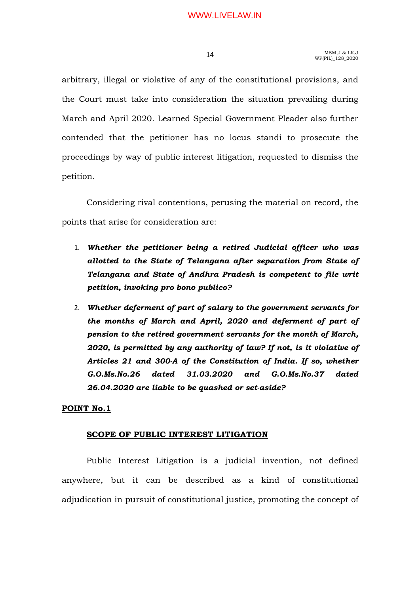arbitrary, illegal or violative of any of the constitutional provisions, and the Court must take into consideration the situation prevailing during March and April 2020. Learned Special Government Pleader also further contended that the petitioner has no locus standi to prosecute the proceedings by way of public interest litigation, requested to dismiss the petition.

 Considering rival contentions, perusing the material on record, the points that arise for consideration are:

- 1. Whether the petitioner being a retired Judicial officer who was allotted to the State of Telangana after separation from State of Telangana and State of Andhra Pradesh is competent to file writ petition, invoking pro bono publico?
- 2. Whether deferment of part of salary to the government servants for the months of March and April, 2020 and deferment of part of pension to the retired government servants for the month of March, 2020, is permitted by any authority of law? If not, is it violative of Articles 21 and 300-A of the Constitution of India. If so, whether G.O.Ms.No.26 dated 31.03.2020 and G.O.Ms.No.37 dated 26.04.2020 are liable to be quashed or set-aside?

## POINT No.1

## SCOPE OF PUBLIC INTEREST LITIGATION

 Public Interest Litigation is a judicial invention, not defined anywhere, but it can be described as a kind of constitutional adjudication in pursuit of constitutional justice, promoting the concept of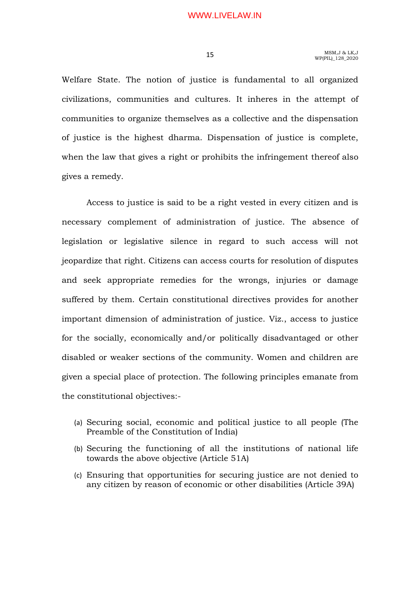Welfare State. The notion of justice is fundamental to all organized civilizations, communities and cultures. It inheres in the attempt of communities to organize themselves as a collective and the dispensation of justice is the highest dharma. Dispensation of justice is complete, when the law that gives a right or prohibits the infringement thereof also gives a remedy.

 Access to justice is said to be a right vested in every citizen and is necessary complement of administration of justice. The absence of legislation or legislative silence in regard to such access will not jeopardize that right. Citizens can access courts for resolution of disputes and seek appropriate remedies for the wrongs, injuries or damage suffered by them. Certain constitutional directives provides for another important dimension of administration of justice. Viz., access to justice for the socially, economically and/or politically disadvantaged or other disabled or weaker sections of the community. Women and children are given a special place of protection. The following principles emanate from the constitutional objectives:-

- (a) Securing social, economic and political justice to all people (The Preamble of the Constitution of India)
- (b) Securing the functioning of all the institutions of national life towards the above objective (Article 51A)
- (c) Ensuring that opportunities for securing justice are not denied to any citizen by reason of economic or other disabilities (Article 39A)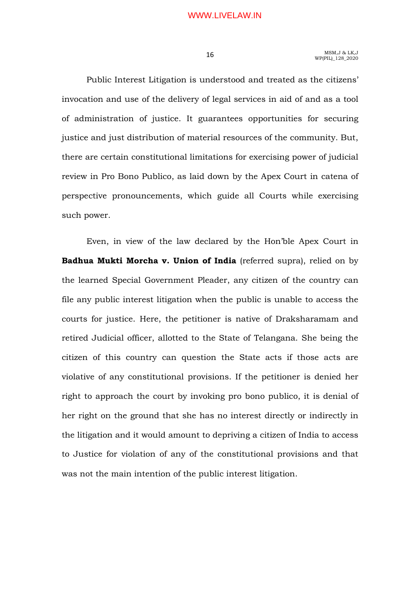Public Interest Litigation is understood and treated as the citizens' invocation and use of the delivery of legal services in aid of and as a tool of administration of justice. It guarantees opportunities for securing justice and just distribution of material resources of the community. But, there are certain constitutional limitations for exercising power of judicial review in Pro Bono Publico, as laid down by the Apex Court in catena of perspective pronouncements, which guide all Courts while exercising such power.

 Even, in view of the law declared by the Hon'ble Apex Court in Badhua Mukti Morcha v. Union of India (referred supra), relied on by the learned Special Government Pleader, any citizen of the country can file any public interest litigation when the public is unable to access the courts for justice. Here, the petitioner is native of Draksharamam and retired Judicial officer, allotted to the State of Telangana. She being the citizen of this country can question the State acts if those acts are violative of any constitutional provisions. If the petitioner is denied her right to approach the court by invoking pro bono publico, it is denial of her right on the ground that she has no interest directly or indirectly in the litigation and it would amount to depriving a citizen of India to access to Justice for violation of any of the constitutional provisions and that was not the main intention of the public interest litigation.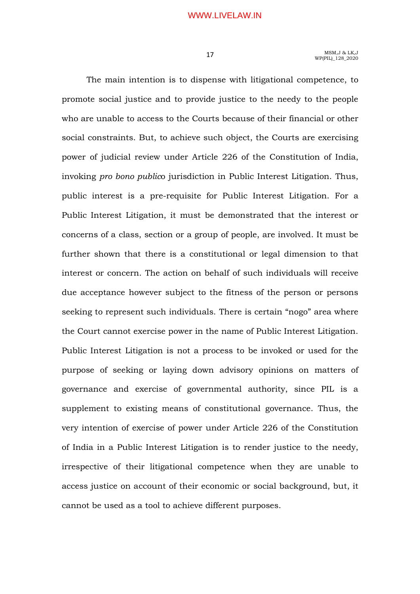The main intention is to dispense with litigational competence, to promote social justice and to provide justice to the needy to the people who are unable to access to the Courts because of their financial or other social constraints. But, to achieve such object, the Courts are exercising power of judicial review under Article 226 of the Constitution of India, invoking pro bono publico jurisdiction in Public Interest Litigation. Thus, public interest is a pre-requisite for Public Interest Litigation. For a Public Interest Litigation, it must be demonstrated that the interest or concerns of a class, section or a group of people, are involved. It must be further shown that there is a constitutional or legal dimension to that interest or concern. The action on behalf of such individuals will receive due acceptance however subject to the fitness of the person or persons seeking to represent such individuals. There is certain "nogo" area where the Court cannot exercise power in the name of Public Interest Litigation. Public Interest Litigation is not a process to be invoked or used for the purpose of seeking or laying down advisory opinions on matters of governance and exercise of governmental authority, since PIL is a supplement to existing means of constitutional governance. Thus, the very intention of exercise of power under Article 226 of the Constitution of India in a Public Interest Litigation is to render justice to the needy, irrespective of their litigational competence when they are unable to access justice on account of their economic or social background, but, it cannot be used as a tool to achieve different purposes.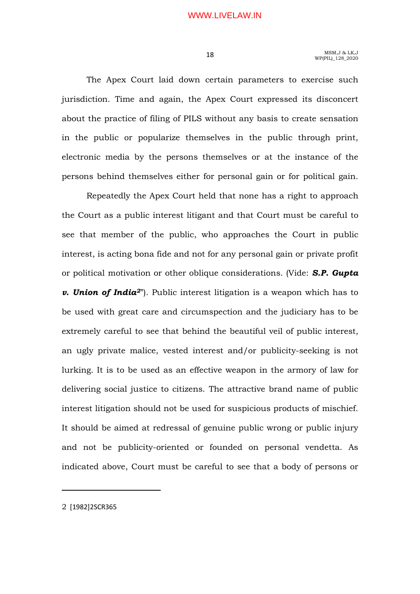The Apex Court laid down certain parameters to exercise such jurisdiction. Time and again, the Apex Court expressed its disconcert about the practice of filing of PILS without any basis to create sensation in the public or popularize themselves in the public through print, electronic media by the persons themselves or at the instance of the persons behind themselves either for personal gain or for political gain.

 Repeatedly the Apex Court held that none has a right to approach the Court as a public interest litigant and that Court must be careful to see that member of the public, who approaches the Court in public interest, is acting bona fide and not for any personal gain or private profit or political motivation or other oblique considerations. (Vide: S.P. Gupta **v. Union of India**<sup>2"</sup>). Public interest litigation is a weapon which has to be used with great care and circumspection and the judiciary has to be extremely careful to see that behind the beautiful veil of public interest, an ugly private malice, vested interest and/or publicity-seeking is not lurking. It is to be used as an effective weapon in the armory of law for delivering social justice to citizens. The attractive brand name of public interest litigation should not be used for suspicious products of mischief. It should be aimed at redressal of genuine public wrong or public injury and not be publicity-oriented or founded on personal vendetta. As indicated above, Court must be careful to see that a body of persons or

2 [1982]2SCR365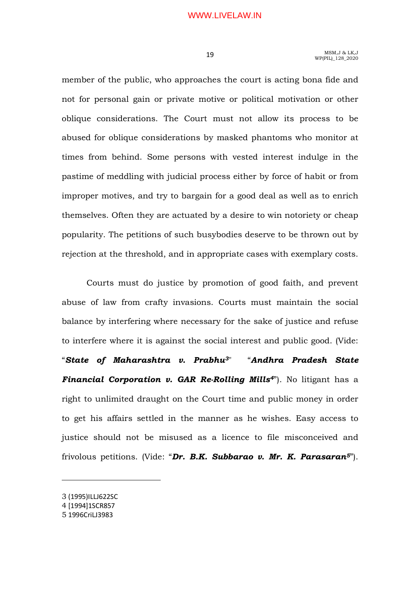member of the public, who approaches the court is acting bona fide and not for personal gain or private motive or political motivation or other oblique considerations. The Court must not allow its process to be abused for oblique considerations by masked phantoms who monitor at times from behind. Some persons with vested interest indulge in the pastime of meddling with judicial process either by force of habit or from improper motives, and try to bargain for a good deal as well as to enrich themselves. Often they are actuated by a desire to win notoriety or cheap popularity. The petitions of such busybodies deserve to be thrown out by rejection at the threshold, and in appropriate cases with exemplary costs.

 Courts must do justice by promotion of good faith, and prevent abuse of law from crafty invasions. Courts must maintain the social balance by interfering where necessary for the sake of justice and refuse to interfere where it is against the social interest and public good. (Vide: "State of Maharashtra v. Prabhu3" "Andhra Pradesh State **Financial Corporation v. GAR Re-Rolling Mills<sup>4"</sup>). No litigant has a** right to unlimited draught on the Court time and public money in order to get his affairs settled in the manner as he wishes. Easy access to justice should not be misused as a licence to file misconceived and frivolous petitions. (Vide: "Dr. B.K. Subbarao v. Mr. K. Parasaran5").

<sup>3</sup> (1995)ILLJ622SC

<sup>4</sup> [1994]1SCR857

<sup>5</sup> 1996CriLJ3983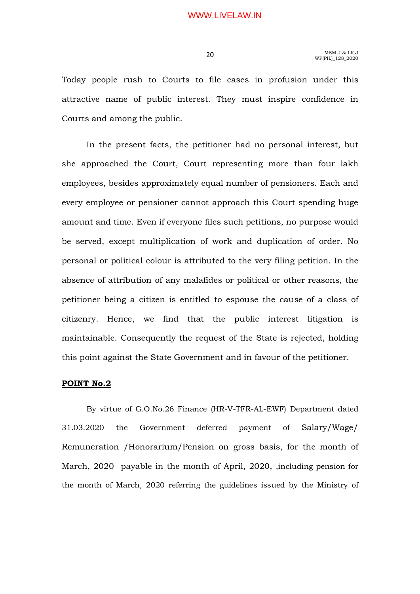Today people rush to Courts to file cases in profusion under this attractive name of public interest. They must inspire confidence in Courts and among the public.

 In the present facts, the petitioner had no personal interest, but she approached the Court, Court representing more than four lakh employees, besides approximately equal number of pensioners. Each and every employee or pensioner cannot approach this Court spending huge amount and time. Even if everyone files such petitions, no purpose would be served, except multiplication of work and duplication of order. No personal or political colour is attributed to the very filing petition. In the absence of attribution of any malafides or political or other reasons, the petitioner being a citizen is entitled to espouse the cause of a class of citizenry. Hence, we find that the public interest litigation is maintainable. Consequently the request of the State is rejected, holding this point against the State Government and in favour of the petitioner.

### POINT No.2

By virtue of G.O.No.26 Finance (HR-V-TFR-AL-EWF) Department dated 31.03.2020 the Government deferred payment of Salary/Wage/ Remuneration /Honorarium/Pension on gross basis, for the month of March, 2020 payable in the month of April, 2020, ,including pension for the month of March, 2020 referring the guidelines issued by the Ministry of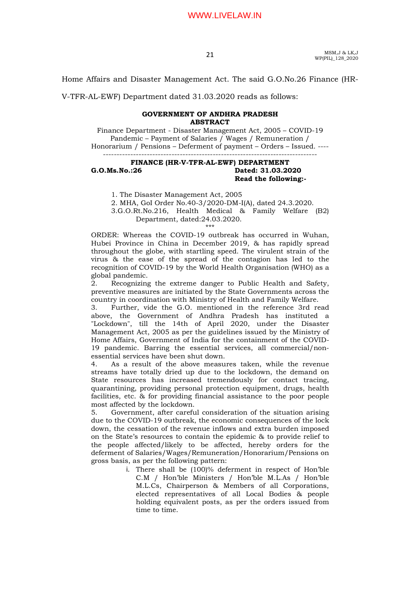MSM,J & LK,J  $MSM, J & LK, J$ <br>WP(PIL)\_128\_2020

Home Affairs and Disaster Management Act. The said G.O.No.26 Finance (HR-

V-TFR-AL-EWF) Department dated 31.03.2020 reads as follows:

#### GOVERNMENT OF ANDHRA PRADESH **ABSTRACT**

Finance Department - Disaster Management Act, 2005 – COVID-19 Pandemic – Payment of Salaries / Wages / Remuneration / Honorarium / Pensions – Deferment of payment – Orders – Issued. ---- ------------------------------------------------------------------------------

#### FINANCE (HR-V-TFR-AL-EWF) DEPARTMENT G.O.Ms.No.:26 Dated: 31.03.2020 Read the following:-

1. The Disaster Management Act, 2005

2. MHA, GoI Order No.40-3/2020-DM-I(A), dated 24.3.2020.

3.G.O.Rt.No.216, Health Medical & Family Welfare (B2) Department, dated:24.03.2020. \*\*\*

ORDER: Whereas the COVID-19 outbreak has occurred in Wuhan, Hubei Province in China in December 2019, & has rapidly spread throughout the globe, with startling speed. The virulent strain of the virus & the ease of the spread of the contagion has led to the recognition of COVID-19 by the World Health Organisation (WHO) as a global pandemic.

2. Recognizing the extreme danger to Public Health and Safety, preventive measures are initiated by the State Governments across the country in coordination with Ministry of Health and Family Welfare.

3. Further, vide the G.O. mentioned in the reference 3rd read above, the Government of Andhra Pradesh has instituted a "Lockdown", till the 14th of April 2020, under the Disaster Management Act, 2005 as per the guidelines issued by the Ministry of Home Affairs, Government of India for the containment of the COVID-19 pandemic. Barring the essential services, all commercial/nonessential services have been shut down.

4. As a result of the above measures taken, while the revenue streams have totally dried up due to the lockdown, the demand on State resources has increased tremendously for contact tracing, quarantining, providing personal protection equipment, drugs, health facilities, etc. & for providing financial assistance to the poor people most affected by the lockdown.

5. Government, after careful consideration of the situation arising due to the COVID-19 outbreak, the economic consequences of the lock down, the cessation of the revenue inflows and extra burden imposed on the State's resources to contain the epidemic & to provide relief to the people affected/likely to be affected, hereby orders for the deferment of Salaries/Wages/Remuneration/Honorarium/Pensions on gross basis, as per the following pattern:

> i. There shall be (100)% deferment in respect of Hon'ble C.M / Hon'ble Ministers / Hon'ble M.L.As / Hon'ble M.L.Cs, Chairperson & Members of all Corporations, elected representatives of all Local Bodies & people holding equivalent posts, as per the orders issued from time to time.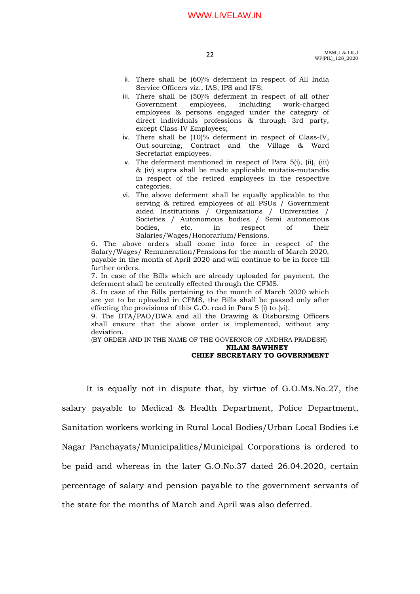- ii. There shall be (60)% deferment in respect of All India Service Officers viz., IAS, IPS and IFS;
- iii. There shall be (50)% deferment in respect of all other Government employees, including work-charged employees & persons engaged under the category of direct individuals professions & through 3rd party, except Class-IV Employees;
- iv. There shall be (10)% deferment in respect of Class-IV, Out-sourcing, Contract and the Village & Ward Secretariat employees.
- v. The deferment mentioned in respect of Para 5(i), (ii), (iii) & (iv) supra shall be made applicable mutatis-mutandis in respect of the retired employees in the respective categories.
- vi. The above deferment shall be equally applicable to the serving & retired employees of all PSUs / Government aided Institutions / Organizations / Universities / Societies / Autonomous bodies / Semi autonomous bodies, etc. in respect of their Salaries/Wages/Honorarium/Pensions.

6. The above orders shall come into force in respect of the Salary/Wages/ Remuneration/Pensions for the month of March 2020, payable in the month of April 2020 and will continue to be in force till further orders.

7. In case of the Bills which are already uploaded for payment, the deferment shall be centrally effected through the CFMS.

8. In case of the Bills pertaining to the month of March 2020 which are yet to be uploaded in CFMS, the Bills shall be passed only after effecting the provisions of this G.O. read in Para 5 (i) to (vi).

9. The DTA/PAO/DWA and all the Drawing & Disbursing Officers shall ensure that the above order is implemented, without any deviation.

(BY ORDER AND IN THE NAME OF THE GOVERNOR OF ANDHRA PRADESH) NILAM SAWHNEY

#### CHIEF SECRETARY TO GOVERNMENT

It is equally not in dispute that, by virtue of G.O.Ms.No.27, the salary payable to Medical & Health Department, Police Department, Sanitation workers working in Rural Local Bodies/Urban Local Bodies i.e Nagar Panchayats/Municipalities/Municipal Corporations is ordered to be paid and whereas in the later G.O.No.37 dated 26.04.2020, certain percentage of salary and pension payable to the government servants of the state for the months of March and April was also deferred.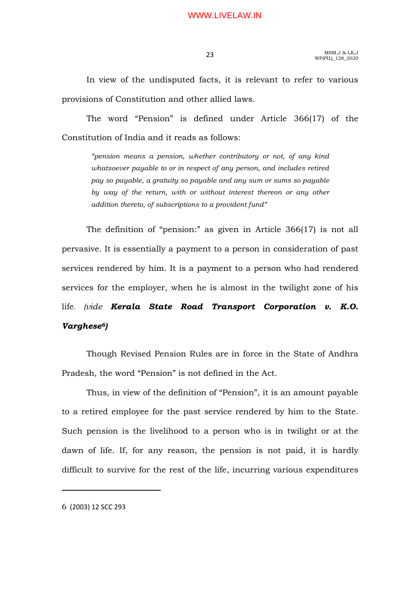In view of the undisputed facts, it is relevant to refer to various provisions of Constitution and other allied laws.

 The word "Pension" is defined under Article 366(17) of the Constitution of India and it reads as follows:

"pension means a pension, whether contributory or not, of any kind whatsoever payable to or in respect of any person, and includes retired pay so payable, a gratuity so payable and any sum or sums so payable by way of the return, with or without interest thereon or any other addition thereto, of subscriptions to a provident fund"

 The definition of "pension:" as given in Article 366(17) is not all pervasive. It is essentially a payment to a person in consideration of past services rendered by him. It is a payment to a person who had rendered services for the employer, when he is almost in the twilight zone of his life. (vide Kerala State Road Transport Corporation v. K.O. Varghese<sup>6</sup>)

Though Revised Pension Rules are in force in the State of Andhra Pradesh, the word "Pension" is not defined in the Act.

Thus, in view of the definition of "Pension", it is an amount payable to a retired employee for the past service rendered by him to the State. Such pension is the livelihood to a person who is in twilight or at the dawn of life. If, for any reason, the pension is not paid, it is hardly difficult to survive for the rest of the life, incurring various expenditures

6 (2003) 12 SCC 293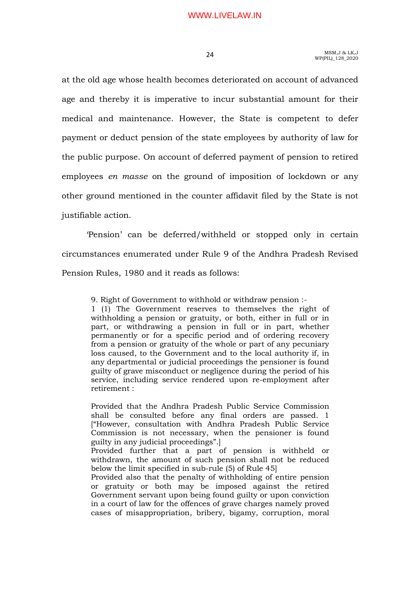at the old age whose health becomes deteriorated on account of advanced age and thereby it is imperative to incur substantial amount for their medical and maintenance. However, the State is competent to defer payment or deduct pension of the state employees by authority of law for the public purpose. On account of deferred payment of pension to retired employees en masse on the ground of imposition of lockdown or any other ground mentioned in the counter affidavit filed by the State is not justifiable action.

 'Pension' can be deferred/withheld or stopped only in certain circumstances enumerated under Rule 9 of the Andhra Pradesh Revised Pension Rules, 1980 and it reads as follows:

9. Right of Government to withhold or withdraw pension :- 1 (1) The Government reserves to themselves the right of withholding a pension or gratuity, or both, either in full or in part, or withdrawing a pension in full or in part, whether permanently or for a specific period and of ordering recovery from a pension or gratuity of the whole or part of any pecuniary loss caused, to the Government and to the local authority if, in any departmental or judicial proceedings the pensioner is found guilty of grave misconduct or negligence during the period of his service, including service rendered upon re-employment after retirement :

Provided that the Andhra Pradesh Public Service Commission shall be consulted before any final orders are passed. 1 ["However, consultation with Andhra Pradesh Public Service Commission is not necessary, when the pensioner is found guilty in any judicial proceedings".]

Provided further that a part of pension is withheld or withdrawn, the amount of such pension shall not be reduced below the limit specified in sub-rule (5) of Rule 45]

Provided also that the penalty of withholding of entire pension or gratuity or both may be imposed against the retired Government servant upon being found guilty or upon conviction in a court of law for the offences of grave charges namely proved cases of misappropriation, bribery, bigamy, corruption, moral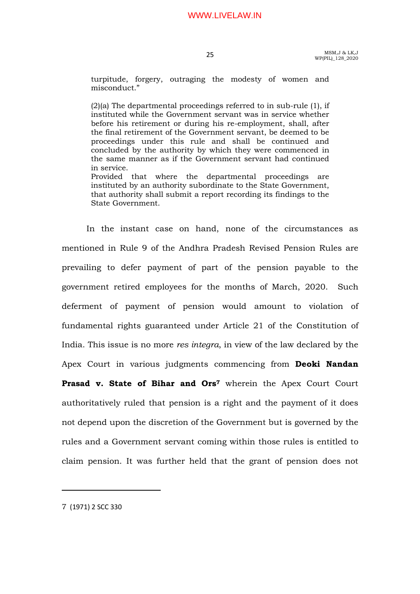turpitude, forgery, outraging the modesty of women and misconduct."

(2)(a) The departmental proceedings referred to in sub-rule (1), if instituted while the Government servant was in service whether before his retirement or during his re-employment, shall, after the final retirement of the Government servant, be deemed to be proceedings under this rule and shall be continued and concluded by the authority by which they were commenced in the same manner as if the Government servant had continued in service. Provided that where the departmental proceedings are

instituted by an authority subordinate to the State Government, that authority shall submit a report recording its findings to the State Government.

 In the instant case on hand, none of the circumstances as mentioned in Rule 9 of the Andhra Pradesh Revised Pension Rules are prevailing to defer payment of part of the pension payable to the government retired employees for the months of March, 2020. Such deferment of payment of pension would amount to violation of fundamental rights guaranteed under Article 21 of the Constitution of India. This issue is no more res integra, in view of the law declared by the Apex Court in various judgments commencing from Deoki Nandan Prasad v. State of Bihar and Ors<sup>7</sup> wherein the Apex Court Court authoritatively ruled that pension is a right and the payment of it does not depend upon the discretion of the Government but is governed by the rules and a Government servant coming within those rules is entitled to claim pension. It was further held that the grant of pension does not

7 (1971) 2 SCC 330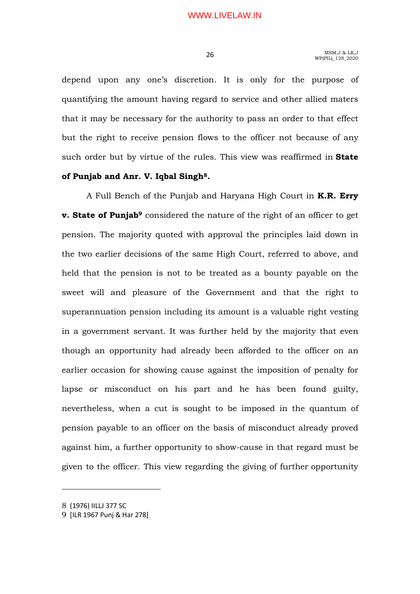depend upon any one's discretion. It is only for the purpose of quantifying the amount having regard to service and other allied maters that it may be necessary for the authority to pass an order to that effect but the right to receive pension flows to the officer not because of any such order but by virtue of the rules. This view was reaffirmed in **State** 

## of Punjab and Anr. V. Iqbal Singh8.

A Full Bench of the Punjab and Haryana High Court in **K.R. Erry v. State of Punjab**<sup>9</sup> considered the nature of the right of an officer to get pension. The majority quoted with approval the principles laid down in the two earlier decisions of the same High Court, referred to above, and held that the pension is not to be treated as a bounty payable on the sweet will and pleasure of the Government and that the right to superannuation pension including its amount is a valuable right vesting in a government servant. It was further held by the majority that even though an opportunity had already been afforded to the officer on an earlier occasion for showing cause against the imposition of penalty for lapse or misconduct on his part and he has been found guilty, nevertheless, when a cut is sought to be imposed in the quantum of pension payable to an officer on the basis of misconduct already proved against him, a further opportunity to show-cause in that regard must be given to the officer. This view regarding the giving of further opportunity

<sup>8</sup> (1976) IILLJ 377 SC

<sup>9</sup> [ILR 1967 Punj & Har 278]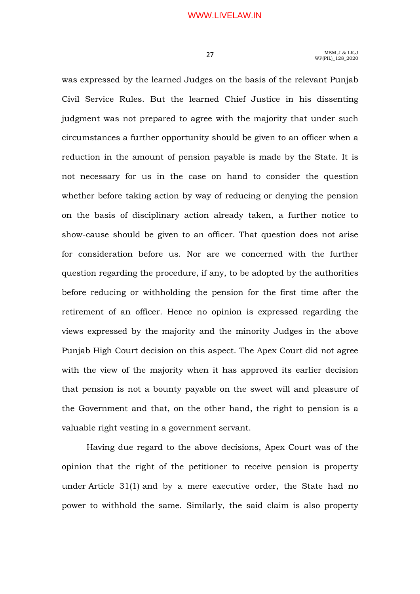was expressed by the learned Judges on the basis of the relevant Punjab Civil Service Rules. But the learned Chief Justice in his dissenting judgment was not prepared to agree with the majority that under such circumstances a further opportunity should be given to an officer when a reduction in the amount of pension payable is made by the State. It is not necessary for us in the case on hand to consider the question whether before taking action by way of reducing or denying the pension on the basis of disciplinary action already taken, a further notice to show-cause should be given to an officer. That question does not arise for consideration before us. Nor are we concerned with the further question regarding the procedure, if any, to be adopted by the authorities before reducing or withholding the pension for the first time after the retirement of an officer. Hence no opinion is expressed regarding the views expressed by the majority and the minority Judges in the above Punjab High Court decision on this aspect. The Apex Court did not agree with the view of the majority when it has approved its earlier decision that pension is not a bounty payable on the sweet will and pleasure of the Government and that, on the other hand, the right to pension is a valuable right vesting in a government servant.

 Having due regard to the above decisions, Apex Court was of the opinion that the right of the petitioner to receive pension is property under Article 31(1) and by a mere executive order, the State had no power to withhold the same. Similarly, the said claim is also property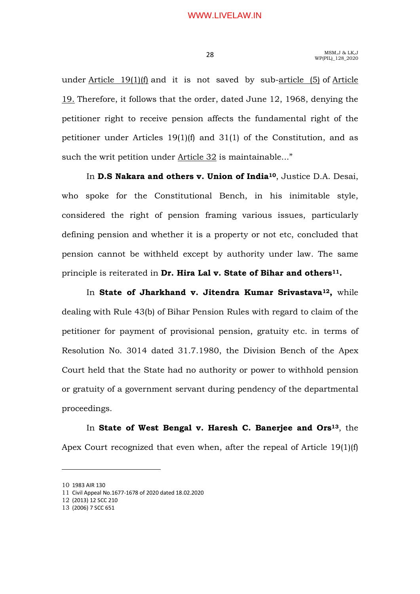under Article 19(1)(f) and it is not saved by sub-article (5) of Article 19. Therefore, it follows that the order, dated June 12, 1968, denying the petitioner right to receive pension affects the fundamental right of the petitioner under Articles 19(1)(f) and 31(1) of the Constitution, and as such the writ petition under Article 32 is maintainable..."

In **D.S Nakara and others v. Union of India<sup>10</sup>, Justice D.A. Desai,** who spoke for the Constitutional Bench, in his inimitable style, considered the right of pension framing various issues, particularly defining pension and whether it is a property or not etc, concluded that pension cannot be withheld except by authority under law. The same principle is reiterated in Dr. Hira Lal v. State of Bihar and others<sup>11</sup>.

In State of Jharkhand v. Jitendra Kumar Srivastava<sup>12</sup>, while dealing with Rule 43(b) of Bihar Pension Rules with regard to claim of the petitioner for payment of provisional pension, gratuity etc. in terms of Resolution No. 3014 dated 31.7.1980, the Division Bench of the Apex Court held that the State had no authority or power to withhold pension or gratuity of a government servant during pendency of the departmental proceedings.

In State of West Bengal v. Haresh C. Banerjee and Ors<sup>13</sup>, the Apex Court recognized that even when, after the repeal of Article 19(1)(f)

<sup>10</sup> 1983 AIR 130

<sup>11</sup> Civil Appeal No.1677-1678 of 2020 dated 18.02.2020

<sup>12</sup> (2013) 12 SCC 210

<sup>13</sup> (2006) 7 SCC 651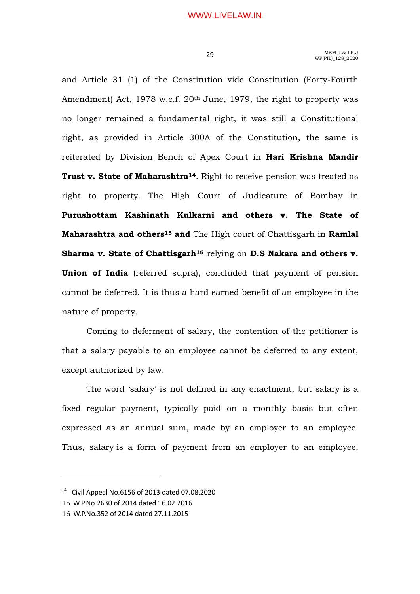and Article 31 (1) of the Constitution vide Constitution (Forty-Fourth Amendment) Act, 1978 w.e.f. 20<sup>th</sup> June, 1979, the right to property was no longer remained a fundamental right, it was still a Constitutional right, as provided in Article 300A of the Constitution, the same is reiterated by Division Bench of Apex Court in Hari Krishna Mandir Trust v. State of Maharashtra<sup>14</sup>. Right to receive pension was treated as right to property. The High Court of Judicature of Bombay in Purushottam Kashinath Kulkarni and others v. The State of Maharashtra and others<sup>15</sup> and The High court of Chattisgarh in Ramlal Sharma v. State of Chattisgarh<sup>16</sup> relying on D.S Nakara and others v. Union of India (referred supra), concluded that payment of pension cannot be deferred. It is thus a hard earned benefit of an employee in the nature of property.

 Coming to deferment of salary, the contention of the petitioner is that a salary payable to an employee cannot be deferred to any extent, except authorized by law.

 The word 'salary' is not defined in any enactment, but salary is a fixed regular payment, typically paid on a monthly basis but often expressed as an annual sum, made by an employer to an employee. Thus, salary is a form of payment from an employer to an employee,

 $14$  Civil Appeal No.6156 of 2013 dated 07.08.2020

<sup>15</sup> W.P.No.2630 of 2014 dated 16.02.2016

<sup>16</sup> W.P.No.352 of 2014 dated 27.11.2015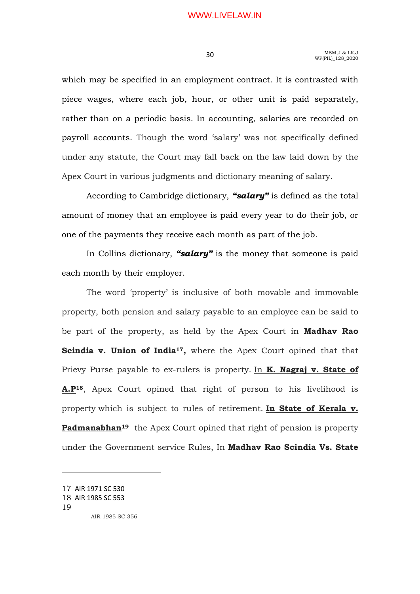which may be specified in an employment contract. It is contrasted with piece wages, where each job, hour, or other unit is paid separately, rather than on a periodic basis. In accounting, salaries are recorded on payroll accounts. Though the word 'salary' was not specifically defined under any statute, the Court may fall back on the law laid down by the Apex Court in various judgments and dictionary meaning of salary.

According to Cambridge dictionary, "salary" is defined as the total amount of money that an employee is paid every year to do their job, or one of the payments they receive each month as part of the job.

In Collins dictionary, "salary" is the money that someone is paid each month by their employer.

The word 'property' is inclusive of both movable and immovable property, both pension and salary payable to an employee can be said to be part of the property, as held by the Apex Court in **Madhav Rao** Scindia v. Union of India<sup>17</sup>, where the Apex Court opined that that Prievy Purse payable to ex-rulers is property. In **K. Nagraj v. State of** A.P18, Apex Court opined that right of person to his livelihood is property which is subject to rules of retirement. In State of Kerala v. Padmanabhan<sup>19</sup> the Apex Court opined that right of pension is property under the Government service Rules, In Madhav Rao Scindia Vs. State

<sup>17</sup> AIR 1971 SC 530

<sup>18</sup> AIR 1985 SC 553

<sup>19</sup> AIR 1985 SC 356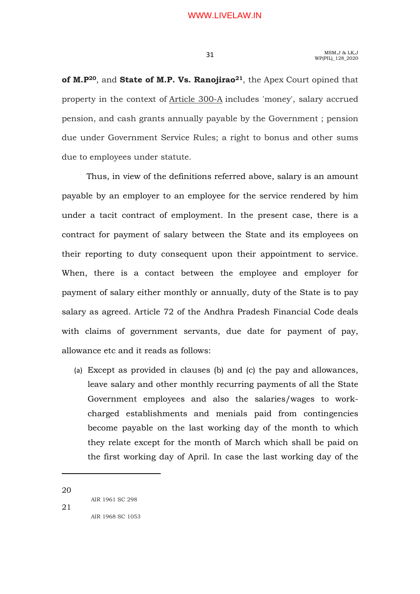of M.P<sup>20</sup>, and State of M.P. Vs. Ranojirao<sup>21</sup>, the Apex Court opined that property in the context of Article 300-A includes 'money', salary accrued pension, and cash grants annually payable by the Government ; pension due under Government Service Rules; a right to bonus and other sums due to employees under statute.

 Thus, in view of the definitions referred above, salary is an amount payable by an employer to an employee for the service rendered by him under a tacit contract of employment. In the present case, there is a contract for payment of salary between the State and its employees on their reporting to duty consequent upon their appointment to service. When, there is a contact between the employee and employer for payment of salary either monthly or annually, duty of the State is to pay salary as agreed. Article 72 of the Andhra Pradesh Financial Code deals with claims of government servants, due date for payment of pay, allowance etc and it reads as follows:

(a) Except as provided in clauses (b) and (c) the pay and allowances, leave salary and other monthly recurring payments of all the State Government employees and also the salaries/wages to workcharged establishments and menials paid from contingencies become payable on the last working day of the month to which they relate except for the month of March which shall be paid on the first working day of April. In case the last working day of the

20

21

-

AIR 1968 SC 1053

AIR 1961 SC 298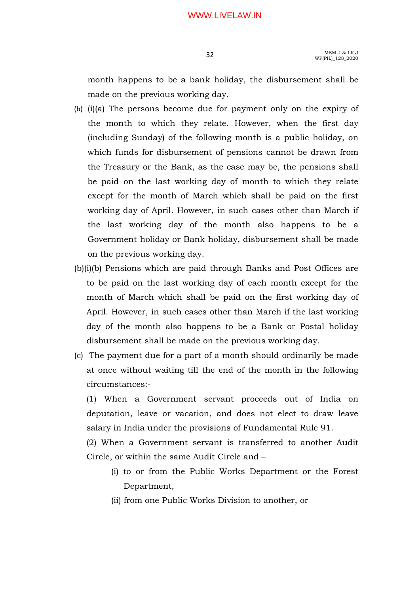month happens to be a bank holiday, the disbursement shall be made on the previous working day.

- (b) (i)(a) The persons become due for payment only on the expiry of the month to which they relate. However, when the first day (including Sunday) of the following month is a public holiday, on which funds for disbursement of pensions cannot be drawn from the Treasury or the Bank, as the case may be, the pensions shall be paid on the last working day of month to which they relate except for the month of March which shall be paid on the first working day of April. However, in such cases other than March if the last working day of the month also happens to be a Government holiday or Bank holiday, disbursement shall be made on the previous working day.
- (b)(i)(b) Pensions which are paid through Banks and Post Offices are to be paid on the last working day of each month except for the month of March which shall be paid on the first working day of April. However, in such cases other than March if the last working day of the month also happens to be a Bank or Postal holiday disbursement shall be made on the previous working day.
- (c) The payment due for a part of a month should ordinarily be made at once without waiting till the end of the month in the following circumstances:-

 (1) When a Government servant proceeds out of India on deputation, leave or vacation, and does not elect to draw leave salary in India under the provisions of Fundamental Rule 91.

 (2) When a Government servant is transferred to another Audit Circle, or within the same Audit Circle and –

- (i) to or from the Public Works Department or the Forest Department,
- (ii) from one Public Works Division to another, or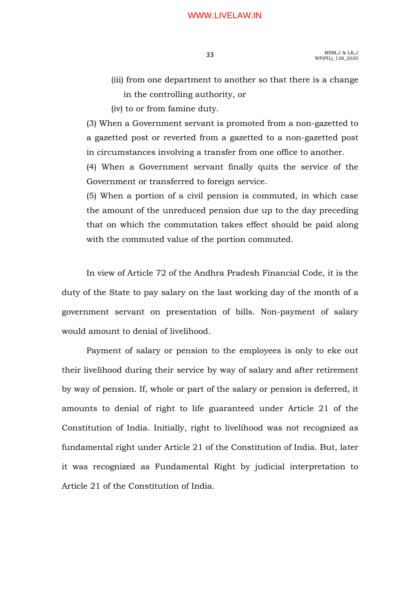- (iii) from one department to another so that there is a change in the controlling authority, or
- (iv) to or from famine duty.

(3) When a Government servant is promoted from a non-gazetted to a gazetted post or reverted from a gazetted to a non-gazetted post in circumstances involving a transfer from one office to another.

(4) When a Government servant finally quits the service of the Government or transferred to foreign service.

(5) When a portion of a civil pension is commuted, in which case the amount of the unreduced pension due up to the day preceding that on which the commutation takes effect should be paid along with the commuted value of the portion commuted.

 In view of Article 72 of the Andhra Pradesh Financial Code, it is the duty of the State to pay salary on the last working day of the month of a government servant on presentation of bills. Non-payment of salary would amount to denial of livelihood.

 Payment of salary or pension to the employees is only to eke out their livelihood during their service by way of salary and after retirement by way of pension. If, whole or part of the salary or pension is deferred, it amounts to denial of right to life guaranteed under Article 21 of the Constitution of India. Initially, right to livelihood was not recognized as fundamental right under Article 21 of the Constitution of India. But, later it was recognized as Fundamental Right by judicial interpretation to Article 21 of the Constitution of India.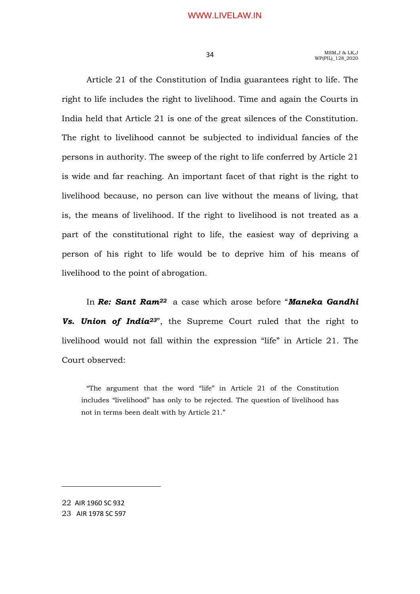Article 21 of the Constitution of India guarantees right to life. The right to life includes the right to livelihood. Time and again the Courts in India held that Article 21 is one of the great silences of the Constitution. The right to livelihood cannot be subjected to individual fancies of the persons in authority. The sweep of the right to life conferred by Article 21 is wide and far reaching. An important facet of that right is the right to livelihood because, no person can live without the means of living, that is, the means of livelihood. If the right to livelihood is not treated as a part of the constitutional right to life, the easiest way of depriving a person of his right to life would be to deprive him of his means of livelihood to the point of abrogation.

In Re: Sant Ram<sup>22</sup> a case which arose before "Maneka Gandhi Vs. Union of India<sup>23"</sup>, the Supreme Court ruled that the right to livelihood would not fall within the expression "life" in Article 21. The Court observed:

"The argument that the word "life" in Article 21 of the Constitution includes "livelihood" has only to be rejected. The question of livelihood has not in terms been dealt with by Article 21."

22 AIR 1960 SC 932

-

23 AIR 1978 SC 597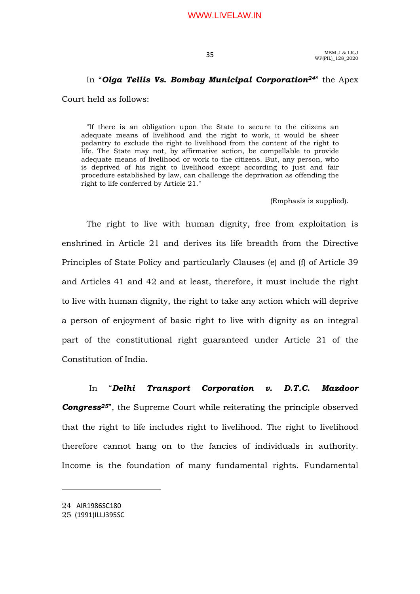## In "Olga Tellis Vs. Bombay Municipal Corporation<sup>24"</sup> the Apex

Court held as follows:

"If there is an obligation upon the State to secure to the citizens an adequate means of livelihood and the right to work, it would be sheer pedantry to exclude the right to livelihood from the content of the right to life. The State may not, by affirmative action, be compellable to provide adequate means of livelihood or work to the citizens. But, any person, who is deprived of his right to livelihood except according to just and fair procedure established by law, can challenge the deprivation as offending the right to life conferred by Article 21."

(Emphasis is supplied).

 The right to live with human dignity, free from exploitation is enshrined in Article 21 and derives its life breadth from the Directive Principles of State Policy and particularly Clauses (e) and (f) of Article 39 and Articles 41 and 42 and at least, therefore, it must include the right to live with human dignity, the right to take any action which will deprive a person of enjoyment of basic right to live with dignity as an integral part of the constitutional right guaranteed under Article 21 of the Constitution of India.

 In "Delhi Transport Corporation v. D.T.C. Mazdoor **Congress**<sup>25"</sup>, the Supreme Court while reiterating the principle observed that the right to life includes right to livelihood. The right to livelihood therefore cannot hang on to the fancies of individuals in authority. Income is the foundation of many fundamental rights. Fundamental

<sup>24</sup> AIR1986SC180

<sup>25</sup> (1991)ILLJ395SC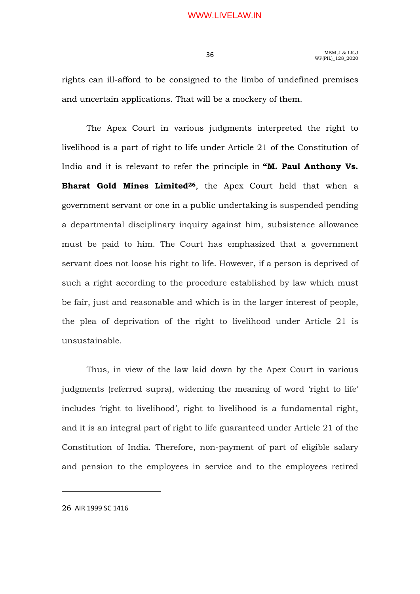rights can ill-afford to be consigned to the limbo of undefined premises and uncertain applications. That will be a mockery of them.

 The Apex Court in various judgments interpreted the right to livelihood is a part of right to life under Article 21 of the Constitution of India and it is relevant to refer the principle in "M. Paul Anthony Vs. Bharat Gold Mines Limited<sup>26</sup>, the Apex Court held that when a government servant or one in a public undertaking is suspended pending a departmental disciplinary inquiry against him, subsistence allowance must be paid to him. The Court has emphasized that a government servant does not loose his right to life. However, if a person is deprived of such a right according to the procedure established by law which must be fair, just and reasonable and which is in the larger interest of people, the plea of deprivation of the right to livelihood under Article 21 is unsustainable.

 Thus, in view of the law laid down by the Apex Court in various judgments (referred supra), widening the meaning of word 'right to life' includes 'right to livelihood', right to livelihood is a fundamental right, and it is an integral part of right to life guaranteed under Article 21 of the Constitution of India. Therefore, non-payment of part of eligible salary and pension to the employees in service and to the employees retired

26 AIR 1999 SC 1416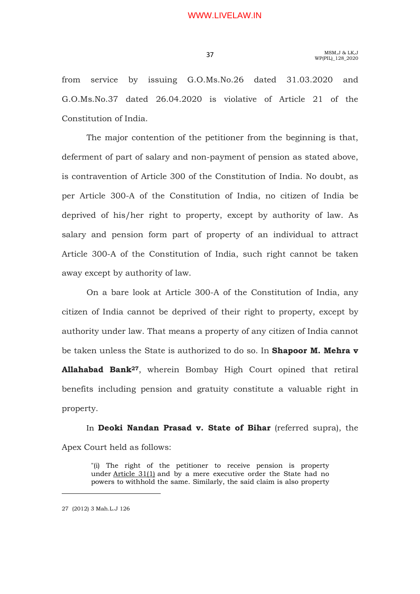from service by issuing G.O.Ms.No.26 dated 31.03.2020 and G.O.Ms.No.37 dated 26.04.2020 is violative of Article 21 of the Constitution of India.

 The major contention of the petitioner from the beginning is that, deferment of part of salary and non-payment of pension as stated above, is contravention of Article 300 of the Constitution of India. No doubt, as per Article 300-A of the Constitution of India, no citizen of India be deprived of his/her right to property, except by authority of law. As salary and pension form part of property of an individual to attract Article 300-A of the Constitution of India, such right cannot be taken away except by authority of law.

 On a bare look at Article 300-A of the Constitution of India, any citizen of India cannot be deprived of their right to property, except by authority under law. That means a property of any citizen of India cannot be taken unless the State is authorized to do so. In **Shapoor M. Mehra v** Allahabad Bank<sup>27</sup>, wherein Bombay High Court opined that retiral benefits including pension and gratuity constitute a valuable right in property.

In Deoki Nandan Prasad v. State of Bihar (referred supra), the Apex Court held as follows:

"(i) The right of the petitioner to receive pension is property under Article 31(1) and by a mere executive order the State had no powers to withhold the same. Similarly, the said claim is also property

<sup>27 (2012) 3</sup> Mah.L.J 126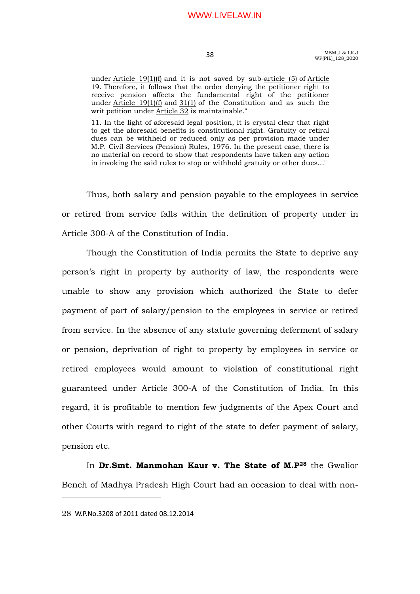MSM,J & LK,J 38 MSM,J & LK,J<br>WP(PIL) 128 2020

under Article 19(1)(f) and it is not saved by sub-article (5) of Article 19. Therefore, it follows that the order denying the petitioner right to receive pension affects the fundamental right of the petitioner under  $Article$  19(1)(f) and  $31(1)$  of the Constitution and as such the writ petition under Article 32 is maintainable."

11. In the light of aforesaid legal position, it is crystal clear that right to get the aforesaid benefits is constitutional right. Gratuity or retiral dues can be withheld or reduced only as per provision made under M.P. Civil Services (Pension) Rules, 1976. In the present case, there is no material on record to show that respondents have taken any action in invoking the said rules to stop or withhold gratuity or other dues..."

 Thus, both salary and pension payable to the employees in service or retired from service falls within the definition of property under in Article 300-A of the Constitution of India.

 Though the Constitution of India permits the State to deprive any person's right in property by authority of law, the respondents were unable to show any provision which authorized the State to defer payment of part of salary/pension to the employees in service or retired from service. In the absence of any statute governing deferment of salary or pension, deprivation of right to property by employees in service or retired employees would amount to violation of constitutional right guaranteed under Article 300-A of the Constitution of India. In this regard, it is profitable to mention few judgments of the Apex Court and other Courts with regard to right of the state to defer payment of salary, pension etc.

In Dr.Smt. Manmohan Kaur v. The State of M.P<sup>28</sup> the Gwalior Bench of Madhya Pradesh High Court had an occasion to deal with non-

<sup>28</sup> W.P.No.3208 of 2011 dated 08.12.2014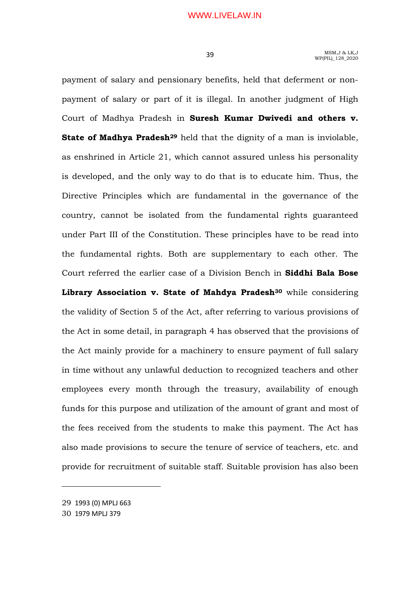payment of salary and pensionary benefits, held that deferment or nonpayment of salary or part of it is illegal. In another judgment of High Court of Madhya Pradesh in Suresh Kumar Dwivedi and others v. State of Madhya Pradesh<sup>29</sup> held that the dignity of a man is inviolable, as enshrined in Article 21, which cannot assured unless his personality is developed, and the only way to do that is to educate him. Thus, the Directive Principles which are fundamental in the governance of the country, cannot be isolated from the fundamental rights guaranteed under Part III of the Constitution. These principles have to be read into the fundamental rights. Both are supplementary to each other. The Court referred the earlier case of a Division Bench in Siddhi Bala Bose Library Association v. State of Mahdya Pradesh<sup>30</sup> while considering the validity of Section 5 of the Act, after referring to various provisions of the Act in some detail, in paragraph 4 has observed that the provisions of the Act mainly provide for a machinery to ensure payment of full salary in time without any unlawful deduction to recognized teachers and other employees every month through the treasury, availability of enough funds for this purpose and utilization of the amount of grant and most of the fees received from the students to make this payment. The Act has also made provisions to secure the tenure of service of teachers, etc. and provide for recruitment of suitable staff. Suitable provision has also been

<sup>29</sup> 1993 (0) MPLJ 663

<sup>30</sup> 1979 MPLJ 379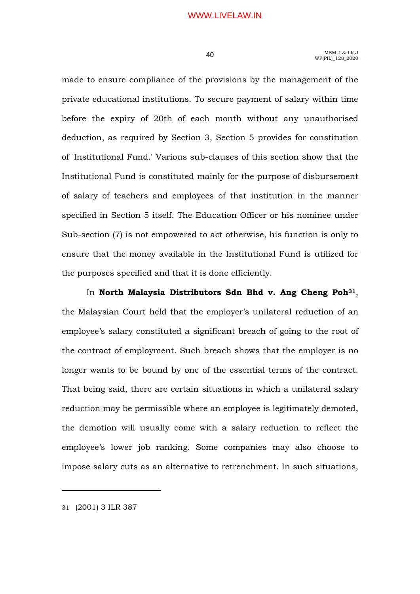made to ensure compliance of the provisions by the management of the private educational institutions. To secure payment of salary within time before the expiry of 20th of each month without any unauthorised deduction, as required by Section 3, Section 5 provides for constitution of 'Institutional Fund.' Various sub-clauses of this section show that the Institutional Fund is constituted mainly for the purpose of disbursement of salary of teachers and employees of that institution in the manner specified in Section 5 itself. The Education Officer or his nominee under Sub-section (7) is not empowered to act otherwise, his function is only to ensure that the money available in the Institutional Fund is utilized for the purposes specified and that it is done efficiently.

In North Malaysia Distributors Sdn Bhd v. Ang Cheng Poh<sup>31</sup>, the Malaysian Court held that the employer's unilateral reduction of an employee's salary constituted a significant breach of going to the root of the contract of employment. Such breach shows that the employer is no longer wants to be bound by one of the essential terms of the contract. That being said, there are certain situations in which a unilateral salary reduction may be permissible where an employee is legitimately demoted, the demotion will usually come with a salary reduction to reflect the employee's lower job ranking. Some companies may also choose to impose salary cuts as an alternative to retrenchment. In such situations,

31 (2001) 3 ILR 387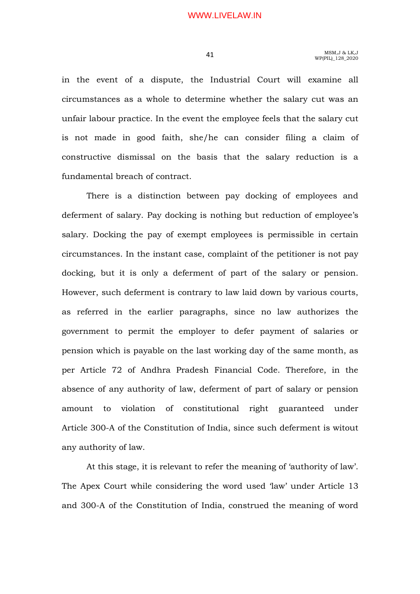in the event of a dispute, the Industrial Court will examine all circumstances as a whole to determine whether the salary cut was an unfair labour practice. In the event the employee feels that the salary cut is not made in good faith, she/he can consider filing a claim of constructive dismissal on the basis that the salary reduction is a fundamental breach of contract.

 There is a distinction between pay docking of employees and deferment of salary. Pay docking is nothing but reduction of employee's salary. Docking the pay of exempt employees is permissible in certain circumstances. In the instant case, complaint of the petitioner is not pay docking, but it is only a deferment of part of the salary or pension. However, such deferment is contrary to law laid down by various courts, as referred in the earlier paragraphs, since no law authorizes the government to permit the employer to defer payment of salaries or pension which is payable on the last working day of the same month, as per Article 72 of Andhra Pradesh Financial Code. Therefore, in the absence of any authority of law, deferment of part of salary or pension amount to violation of constitutional right guaranteed under Article 300-A of the Constitution of India, since such deferment is witout any authority of law.

 At this stage, it is relevant to refer the meaning of 'authority of law'. The Apex Court while considering the word used 'law' under Article 13 and 300-A of the Constitution of India, construed the meaning of word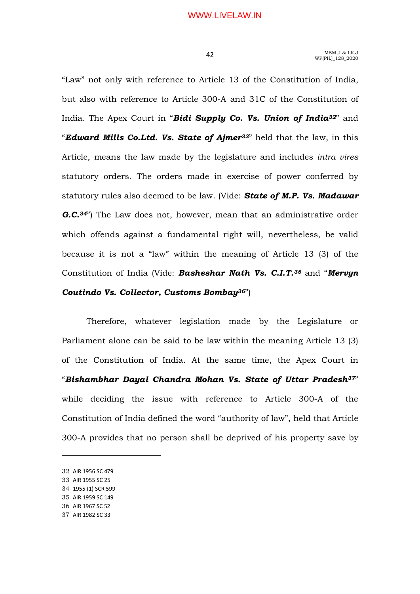"Law" not only with reference to Article 13 of the Constitution of India, but also with reference to Article 300-A and 31C of the Constitution of India. The Apex Court in "**Bidi Supply Co. Vs. Union of India**<sup>32"</sup> and "Edward Mills Co.Ltd. Vs. State of Ajmer<sup>33"</sup> held that the law, in this Article, means the law made by the legislature and includes intra vires statutory orders. The orders made in exercise of power conferred by statutory rules also deemed to be law. (Vide: State of M.P. Vs. Madawar G.C.<sup>34"</sup>) The Law does not, however, mean that an administrative order which offends against a fundamental right will, nevertheless, be valid because it is not a "law" within the meaning of Article 13 (3) of the Constitution of India (Vide: Basheshar Nath Vs. C.I.T.<sup>35</sup> and "Mervyn

## Coutindo Vs. Collector, Customs Bombay36")

 Therefore, whatever legislation made by the Legislature or Parliament alone can be said to be law within the meaning Article 13 (3) of the Constitution of India. At the same time, the Apex Court in "Bishambhar Dayal Chandra Mohan Vs. State of Uttar Pradesh<sup>37"</sup> while deciding the issue with reference to Article 300-A of the Constitution of India defined the word "authority of law", held that Article 300-A provides that no person shall be deprived of his property save by

- 34 1955 (1) SCR 599
- 35 AIR 1959 SC 149
- 36 AIR 1967 SC 52 37 AIR 1982 SC 33

<sup>32</sup> AIR 1956 SC 479

<sup>33</sup> AIR 1955 SC 25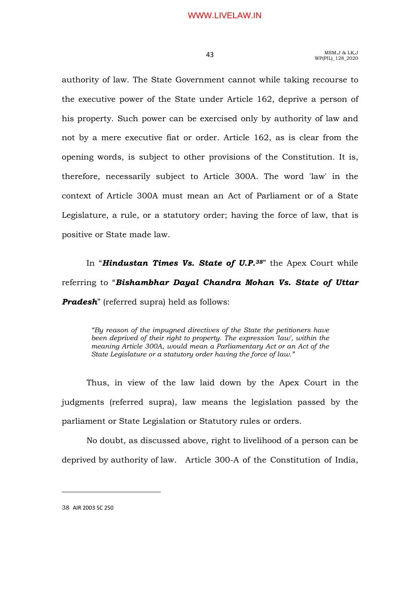authority of law. The State Government cannot while taking recourse to the executive power of the State under Article 162, deprive a person of his property. Such power can be exercised only by authority of law and not by a mere executive fiat or order. Article 162, as is clear from the opening words, is subject to other provisions of the Constitution. It is, therefore, necessarily subject to Article 300A. The word 'law' in the context of Article 300A must mean an Act of Parliament or of a State Legislature, a rule, or a statutory order; having the force of law, that is positive or State made law.

In "Hindustan Times Vs. State of U.P.<sup>38"</sup> the Apex Court while referring to "Bishambhar Dayal Chandra Mohan Vs. State of Uttar **Pradesh**" (referred supra) held as follows:

"By reason of the impugned directives of the State the petitioners have been deprived of their right to property. The expression 'law', within the meaning Article 300A, would mean a Parliamentary Act or an Act of the State Legislature or a statutory order having the force of law."

 Thus, in view of the law laid down by the Apex Court in the judgments (referred supra), law means the legislation passed by the parliament or State Legislation or Statutory rules or orders.

 No doubt, as discussed above, right to livelihood of a person can be deprived by authority of law. Article 300-A of the Constitution of India,

38 AIR 2003 SC 250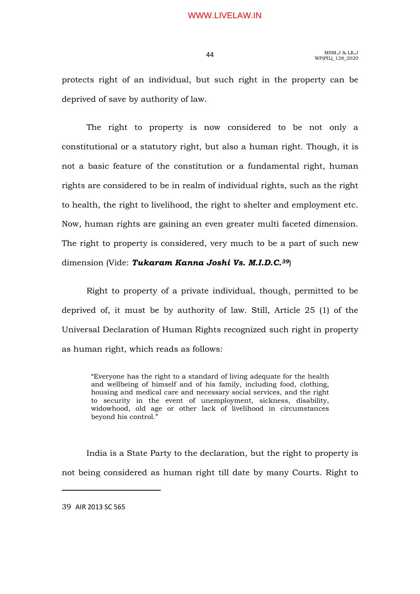MSM,J & LK,J  $MSM,J \& LK,J$ <br> $WP(PLL)_{128\_2020}$ 

protects right of an individual, but such right in the property can be deprived of save by authority of law.

 The right to property is now considered to be not only a constitutional or a statutory right, but also a human right. Though, it is not a basic feature of the constitution or a fundamental right, human rights are considered to be in realm of individual rights, such as the right to health, the right to livelihood, the right to shelter and employment etc. Now, human rights are gaining an even greater multi faceted dimension. The right to property is considered, very much to be a part of such new dimension (Vide: Tukaram Kanna Joshi Vs. M.I.D.C.<sup>39</sup>)

 Right to property of a private individual, though, permitted to be deprived of, it must be by authority of law. Still, Article 25 (1) of the Universal Declaration of Human Rights recognized such right in property as human right, which reads as follows:

"Everyone has the right to a standard of living adequate for the health and wellbeing of himself and of his family, including food, clothing, housing and medical care and necessary social services, and the right to security in the event of unemployment, sickness, disability, widowhood, old age or other lack of livelihood in circumstances beyond his control."

 India is a State Party to the declaration, but the right to property is not being considered as human right till date by many Courts. Right to

39 AIR 2013 SC 565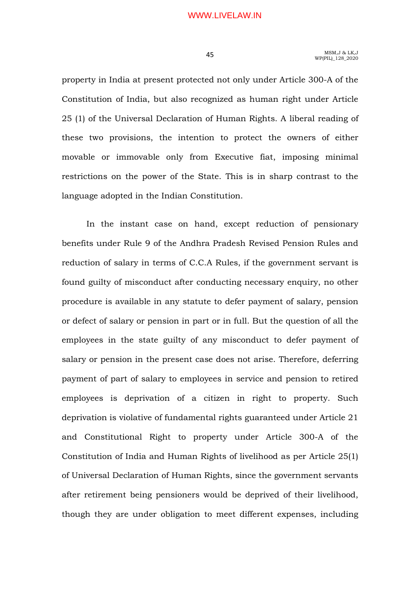property in India at present protected not only under Article 300-A of the Constitution of India, but also recognized as human right under Article 25 (1) of the Universal Declaration of Human Rights. A liberal reading of these two provisions, the intention to protect the owners of either movable or immovable only from Executive fiat, imposing minimal restrictions on the power of the State. This is in sharp contrast to the language adopted in the Indian Constitution.

In the instant case on hand, except reduction of pensionary benefits under Rule 9 of the Andhra Pradesh Revised Pension Rules and reduction of salary in terms of C.C.A Rules, if the government servant is found guilty of misconduct after conducting necessary enquiry, no other procedure is available in any statute to defer payment of salary, pension or defect of salary or pension in part or in full. But the question of all the employees in the state guilty of any misconduct to defer payment of salary or pension in the present case does not arise. Therefore, deferring payment of part of salary to employees in service and pension to retired employees is deprivation of a citizen in right to property. Such deprivation is violative of fundamental rights guaranteed under Article 21 and Constitutional Right to property under Article 300-A of the Constitution of India and Human Rights of livelihood as per Article 25(1) of Universal Declaration of Human Rights, since the government servants after retirement being pensioners would be deprived of their livelihood, though they are under obligation to meet different expenses, including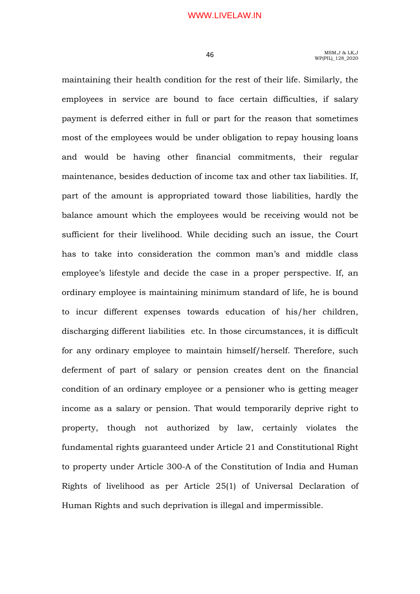maintaining their health condition for the rest of their life. Similarly, the employees in service are bound to face certain difficulties, if salary payment is deferred either in full or part for the reason that sometimes most of the employees would be under obligation to repay housing loans and would be having other financial commitments, their regular maintenance, besides deduction of income tax and other tax liabilities. If, part of the amount is appropriated toward those liabilities, hardly the balance amount which the employees would be receiving would not be sufficient for their livelihood. While deciding such an issue, the Court has to take into consideration the common man's and middle class employee's lifestyle and decide the case in a proper perspective. If, an ordinary employee is maintaining minimum standard of life, he is bound to incur different expenses towards education of his/her children, discharging different liabilities etc. In those circumstances, it is difficult for any ordinary employee to maintain himself/herself. Therefore, such deferment of part of salary or pension creates dent on the financial condition of an ordinary employee or a pensioner who is getting meager income as a salary or pension. That would temporarily deprive right to property, though not authorized by law, certainly violates the fundamental rights guaranteed under Article 21 and Constitutional Right to property under Article 300-A of the Constitution of India and Human Rights of livelihood as per Article 25(1) of Universal Declaration of Human Rights and such deprivation is illegal and impermissible.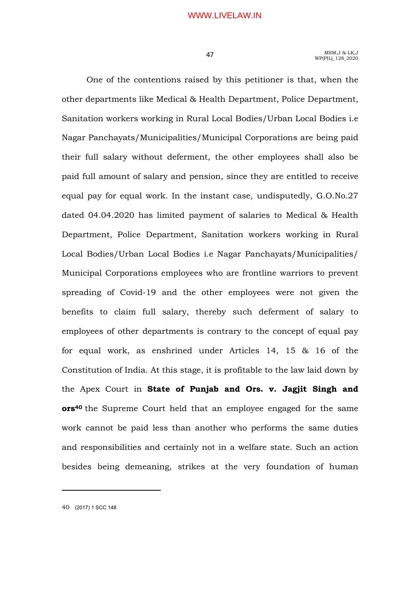## A T MSM, J & LK, J WP(PIL) 128 2020

 One of the contentions raised by this petitioner is that, when the other departments like Medical & Health Department, Police Department, Sanitation workers working in Rural Local Bodies/Urban Local Bodies i.e Nagar Panchayats/Municipalities/Municipal Corporations are being paid their full salary without deferment, the other employees shall also be paid full amount of salary and pension, since they are entitled to receive equal pay for equal work. In the instant case, undisputedly, G.O.No.27 dated 04.04.2020 has limited payment of salaries to Medical & Health Department, Police Department, Sanitation workers working in Rural Local Bodies/Urban Local Bodies i.e Nagar Panchayats/Municipalities/ Municipal Corporations employees who are frontline warriors to prevent spreading of Covid-19 and the other employees were not given the benefits to claim full salary, thereby such deferment of salary to employees of other departments is contrary to the concept of equal pay for equal work, as enshrined under Articles 14, 15 & 16 of the Constitution of India. At this stage, it is profitable to the law laid down by the Apex Court in State of Punjab and Ors. v. Jagjit Singh and ors40 the Supreme Court held that an employee engaged for the same work cannot be paid less than another who performs the same duties and responsibilities and certainly not in a welfare state. Such an action besides being demeaning, strikes at the very foundation of human

40 (2017) 1 SCC 148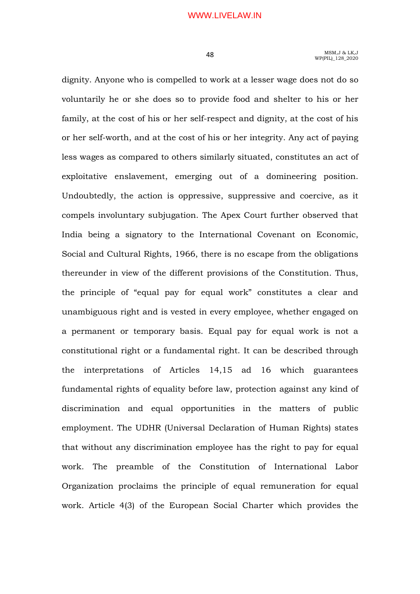dignity. Anyone who is compelled to work at a lesser wage does not do so voluntarily he or she does so to provide food and shelter to his or her family, at the cost of his or her self-respect and dignity, at the cost of his or her self-worth, and at the cost of his or her integrity. Any act of paying less wages as compared to others similarly situated, constitutes an act of exploitative enslavement, emerging out of a domineering position. Undoubtedly, the action is oppressive, suppressive and coercive, as it compels involuntary subjugation. The Apex Court further observed that India being a signatory to the International Covenant on Economic, Social and Cultural Rights, 1966, there is no escape from the obligations thereunder in view of the different provisions of the Constitution. Thus, the principle of "equal pay for equal work" constitutes a clear and unambiguous right and is vested in every employee, whether engaged on a permanent or temporary basis. Equal pay for equal work is not a constitutional right or a fundamental right. It can be described through the interpretations of Articles 14,15 ad 16 which guarantees fundamental rights of equality before law, protection against any kind of discrimination and equal opportunities in the matters of public employment. The UDHR (Universal Declaration of Human Rights) states that without any discrimination employee has the right to pay for equal work. The preamble of the Constitution of International Labor Organization proclaims the principle of equal remuneration for equal work. Article 4(3) of the European Social Charter which provides the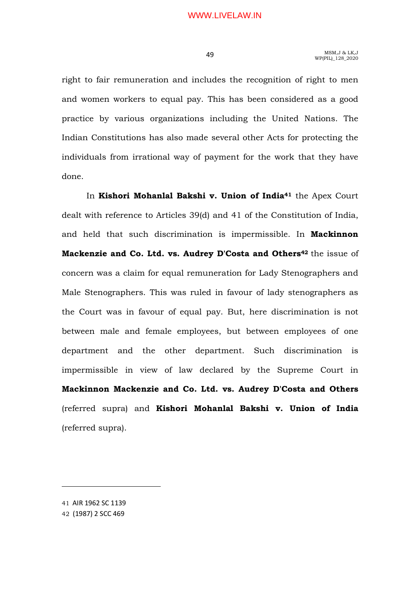right to fair remuneration and includes the recognition of right to men and women workers to equal pay. This has been considered as a good practice by various organizations including the United Nations. The Indian Constitutions has also made several other Acts for protecting the individuals from irrational way of payment for the work that they have done.

In Kishori Mohanlal Bakshi v. Union of India<sup>41</sup> the Apex Court dealt with reference to Articles 39(d) and 41 of the Constitution of India, and held that such discrimination is impermissible. In Mackinnon Mackenzie and Co. Ltd. vs. Audrey D'Costa and Others<sup>42</sup> the issue of concern was a claim for equal remuneration for Lady Stenographers and Male Stenographers. This was ruled in favour of lady stenographers as the Court was in favour of equal pay. But, here discrimination is not between male and female employees, but between employees of one department and the other department. Such discrimination is impermissible in view of law declared by the Supreme Court in Mackinnon Mackenzie and Co. Ltd. vs. Audrey D'Costa and Others (referred supra) and Kishori Mohanlal Bakshi v. Union of India (referred supra).

<sup>41</sup> AIR 1962 SC 1139

<sup>42</sup> (1987) 2 SCC 469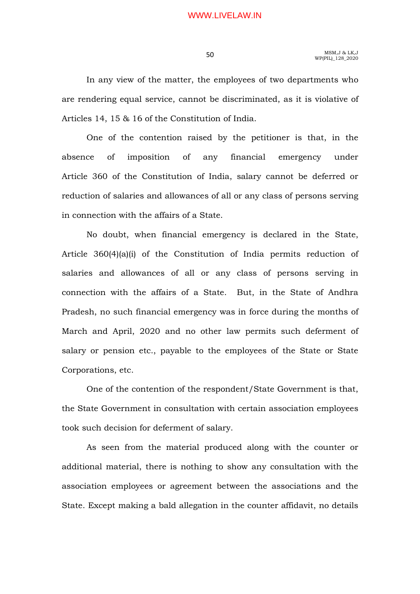In any view of the matter, the employees of two departments who are rendering equal service, cannot be discriminated, as it is violative of Articles 14, 15 & 16 of the Constitution of India.

 One of the contention raised by the petitioner is that, in the absence of imposition of any financial emergency under Article 360 of the Constitution of India, salary cannot be deferred or reduction of salaries and allowances of all or any class of persons serving in connection with the affairs of a State.

 No doubt, when financial emergency is declared in the State, Article 360(4)(a)(i) of the Constitution of India permits reduction of salaries and allowances of all or any class of persons serving in connection with the affairs of a State. But, in the State of Andhra Pradesh, no such financial emergency was in force during the months of March and April, 2020 and no other law permits such deferment of salary or pension etc., payable to the employees of the State or State Corporations, etc.

 One of the contention of the respondent/State Government is that, the State Government in consultation with certain association employees took such decision for deferment of salary.

 As seen from the material produced along with the counter or additional material, there is nothing to show any consultation with the association employees or agreement between the associations and the State. Except making a bald allegation in the counter affidavit, no details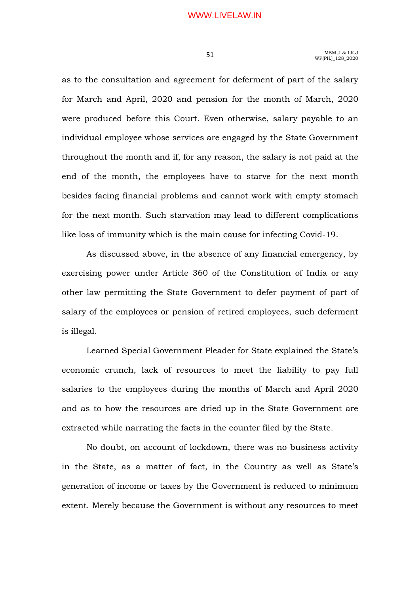as to the consultation and agreement for deferment of part of the salary for March and April, 2020 and pension for the month of March, 2020 were produced before this Court. Even otherwise, salary payable to an individual employee whose services are engaged by the State Government throughout the month and if, for any reason, the salary is not paid at the end of the month, the employees have to starve for the next month besides facing financial problems and cannot work with empty stomach for the next month. Such starvation may lead to different complications like loss of immunity which is the main cause for infecting Covid-19.

 As discussed above, in the absence of any financial emergency, by exercising power under Article 360 of the Constitution of India or any other law permitting the State Government to defer payment of part of salary of the employees or pension of retired employees, such deferment is illegal.

 Learned Special Government Pleader for State explained the State's economic crunch, lack of resources to meet the liability to pay full salaries to the employees during the months of March and April 2020 and as to how the resources are dried up in the State Government are extracted while narrating the facts in the counter filed by the State.

 No doubt, on account of lockdown, there was no business activity in the State, as a matter of fact, in the Country as well as State's generation of income or taxes by the Government is reduced to minimum extent. Merely because the Government is without any resources to meet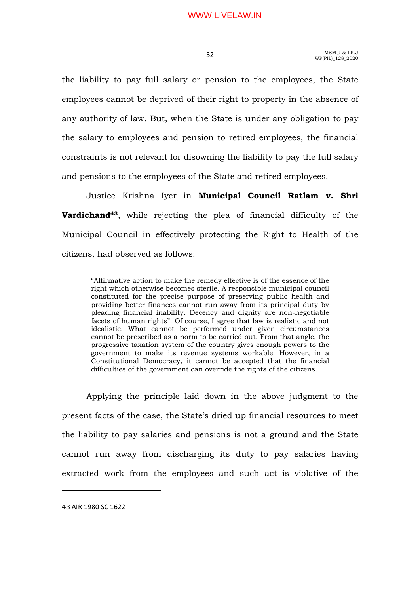the liability to pay full salary or pension to the employees, the State employees cannot be deprived of their right to property in the absence of any authority of law. But, when the State is under any obligation to pay the salary to employees and pension to retired employees, the financial constraints is not relevant for disowning the liability to pay the full salary and pensions to the employees of the State and retired employees.

Justice Krishna Iyer in Municipal Council Ratlam v. Shri Vardichand43, while rejecting the plea of financial difficulty of the Municipal Council in effectively protecting the Right to Health of the citizens, had observed as follows:

"Affirmative action to make the remedy effective is of the essence of the right which otherwise becomes sterile. A responsible municipal council constituted for the precise purpose of preserving public health and providing better finances cannot run away from its principal duty by pleading financial inability. Decency and dignity are non-negotiable facets of human rights". Of course, I agree that law is realistic and not idealistic. What cannot be performed under given circumstances cannot be prescribed as a norm to be carried out. From that angle, the progressive taxation system of the country gives enough powers to the government to make its revenue systems workable. However, in a Constitutional Democracy, it cannot be accepted that the financial difficulties of the government can override the rights of the citizens.

 Applying the principle laid down in the above judgment to the present facts of the case, the State's dried up financial resources to meet the liability to pay salaries and pensions is not a ground and the State cannot run away from discharging its duty to pay salaries having extracted work from the employees and such act is violative of the

43 AIR 1980 SC 1622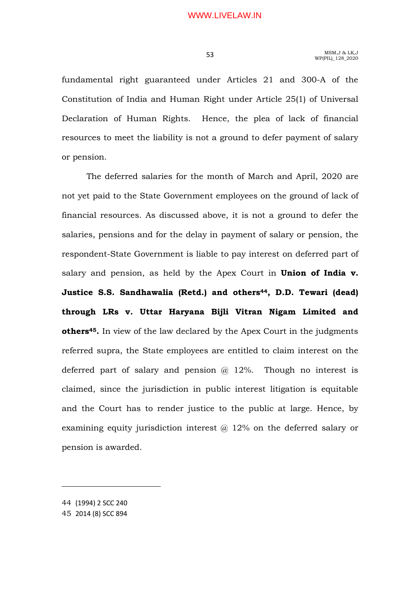fundamental right guaranteed under Articles 21 and 300-A of the Constitution of India and Human Right under Article 25(1) of Universal Declaration of Human Rights. Hence, the plea of lack of financial resources to meet the liability is not a ground to defer payment of salary or pension.

 The deferred salaries for the month of March and April, 2020 are not yet paid to the State Government employees on the ground of lack of financial resources. As discussed above, it is not a ground to defer the salaries, pensions and for the delay in payment of salary or pension, the respondent-State Government is liable to pay interest on deferred part of salary and pension, as held by the Apex Court in **Union of India v.** Justice S.S. Sandhawalia (Retd.) and others<sup>44</sup>, D.D. Tewari (dead) through LRs v. Uttar Haryana Bijli Vitran Nigam Limited and others<sup>45</sup>. In view of the law declared by the Apex Court in the judgments referred supra, the State employees are entitled to claim interest on the deferred part of salary and pension  $\omega$  12%. Though no interest is claimed, since the jurisdiction in public interest litigation is equitable and the Court has to render justice to the public at large. Hence, by examining equity jurisdiction interest @ 12% on the deferred salary or pension is awarded.

44 (1994) 2 SCC 240

45 2014 (8) SCC 894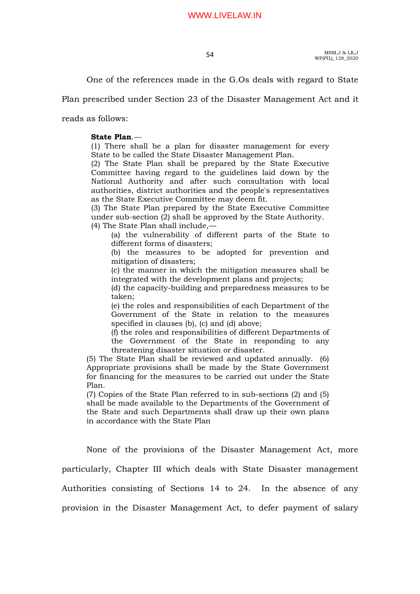One of the references made in the G.Os deals with regard to State

Plan prescribed under Section 23 of the Disaster Management Act and it

reads as follows:

### State Plan.—

(1) There shall be a plan for disaster management for every State to be called the State Disaster Management Plan.

(2) The State Plan shall be prepared by the State Executive Committee having regard to the guidelines laid down by the National Authority and after such consultation with local authorities, district authorities and the people's representatives as the State Executive Committee may deem fit.

(3) The State Plan prepared by the State Executive Committee under sub-section (2) shall be approved by the State Authority.

(4) The State Plan shall include,—

(a) the vulnerability of different parts of the State to different forms of disasters;

(b) the measures to be adopted for prevention and mitigation of disasters;

(c) the manner in which the mitigation measures shall be integrated with the development plans and projects;

(d) the capacity-building and preparedness measures to be taken;

(e) the roles and responsibilities of each Department of the Government of the State in relation to the measures specified in clauses (b), (c) and (d) above;

(f) the roles and responsibilities of different Departments of the Government of the State in responding to any threatening disaster situation or disaster.

(5) The State Plan shall be reviewed and updated annually. (6) Appropriate provisions shall be made by the State Government for financing for the measures to be carried out under the State Plan.

(7) Copies of the State Plan referred to in sub-sections (2) and (5) shall be made available to the Departments of the Government of the State and such Departments shall draw up their own plans in accordance with the State Plan

 None of the provisions of the Disaster Management Act, more particularly, Chapter III which deals with State Disaster management Authorities consisting of Sections 14 to 24. In the absence of any provision in the Disaster Management Act, to defer payment of salary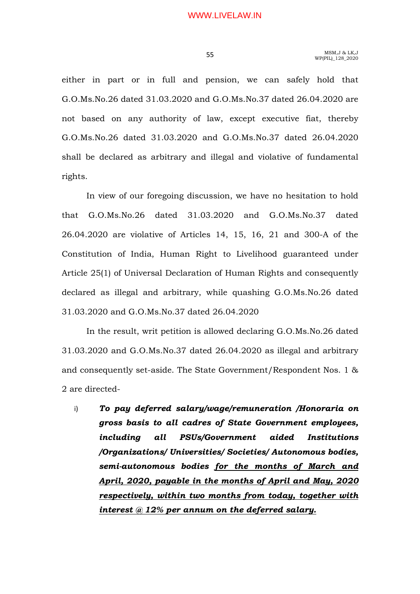either in part or in full and pension, we can safely hold that G.O.Ms.No.26 dated 31.03.2020 and G.O.Ms.No.37 dated 26.04.2020 are not based on any authority of law, except executive fiat, thereby G.O.Ms.No.26 dated 31.03.2020 and G.O.Ms.No.37 dated 26.04.2020 shall be declared as arbitrary and illegal and violative of fundamental rights.

 In view of our foregoing discussion, we have no hesitation to hold that G.O.Ms.No.26 dated 31.03.2020 and G.O.Ms.No.37 dated 26.04.2020 are violative of Articles 14, 15, 16, 21 and 300-A of the Constitution of India, Human Right to Livelihood guaranteed under Article 25(1) of Universal Declaration of Human Rights and consequently declared as illegal and arbitrary, while quashing G.O.Ms.No.26 dated 31.03.2020 and G.O.Ms.No.37 dated 26.04.2020

 In the result, writ petition is allowed declaring G.O.Ms.No.26 dated 31.03.2020 and G.O.Ms.No.37 dated 26.04.2020 as illegal and arbitrary and consequently set-aside. The State Government/Respondent Nos. 1 & 2 are directed-

i) To pay deferred salary/wage/remuneration /Honoraria on gross basis to all cadres of State Government employees, including all PSUs/Government aided Institutions /Organizations/ Universities/ Societies/ Autonomous bodies, semi-autonomous bodies for the months of March and April, 2020, payable in the months of April and May, 2020 respectively, within two months from today, together with interest  $@$  12% per annum on the deferred salary.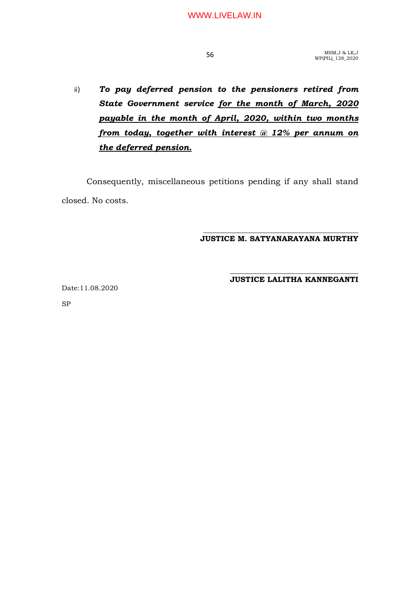ii) To pay deferred pension to the pensioners retired from State Government service for the month of March, 2020 payable in the month of April, 2020, within two months from today, together with interest @ 12% per annum on the deferred pension.

 Consequently, miscellaneous petitions pending if any shall stand closed. No costs.

#### \_\_\_\_\_\_\_\_\_\_\_\_\_\_\_\_\_\_\_\_\_\_\_\_\_\_\_\_\_\_\_\_\_\_\_\_\_\_\_\_\_ JUSTICE M. SATYANARAYANA MURTHY

#### \_\_\_\_\_\_\_\_\_\_\_\_\_\_\_\_\_\_\_\_\_\_\_\_\_\_\_\_\_\_\_\_\_\_ JUSTICE LALITHA KANNEGANTI

Date:11.08.2020

SP